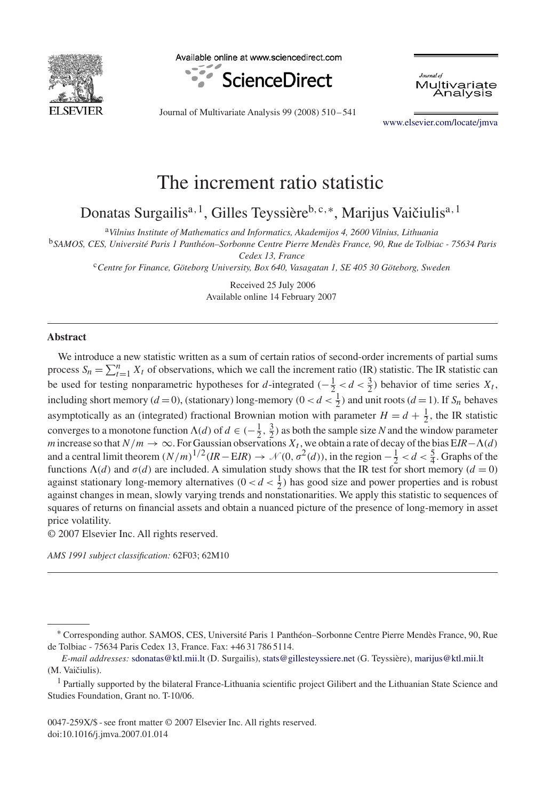

Available online at www.sciencedirect.com



Journal of Multivariate Analysis

Journal of Multivariate Analysis 99 (2008) 510 – 541

[www.elsevier.com/locate/jmva](http://www.elsevier.com/locate/jmva)

# The increment ratio statistic

Donatas Surgailis<sup>a, 1</sup>, Gilles Teyssière<sup>b, c,∗</sup>, Marijus Vaičiulis<sup>a, 1</sup>

<sup>a</sup>*Vilnius Institute of Mathematics and Informatics, Akademijos 4, 2600 Vilnius, Lithuania*

<sup>b</sup>*SAMOS, CES, Université Paris 1 Panthéon–Sorbonne Centre Pierre Mendès France, 90, Rue de Tolbiac - 75634 Paris*

*Cedex 13, France*

<sup>c</sup>*Centre for Finance, Göteborg University, Box 640, Vasagatan 1, SE 405 30 Göteborg, Sweden*

Received 25 July 2006 Available online 14 February 2007

## **Abstract**

We introduce a new statistic written as a sum of certain ratios of second-order increments of partial sums process  $S_n = \sum_{t=1}^n X_t$  of observations, which we call the increment ratio (IR) statistic. The IR statistic can be used for testing nonparametric hypotheses for d-integrated  $\left(-\frac{1}{2} < d < \frac{3}{2}\right)$  behavior of time series  $X_t$ , including short memory ( $d = 0$ ), (stationary) long-memory ( $0 < d < \frac{1}{2}$ ) and unit roots ( $d = 1$ ). If  $S_n$  behaves asymptotically as an (integrated) fractional Brownian motion with parameter  $H = d + \frac{1}{2}$ , the IR statistic converges to a monotone function  $\Lambda(d)$  of  $d \in (-\frac{1}{2}, \frac{3}{2})$  as both the sample size *N* and the window parameter *m* increase so that  $N/m \to \infty$ . For Gaussian observations  $X_t$ , we obtain a rate of decay of the bias  $EIR-\Lambda(d)$ and a central limit theorem  $(N/m)^{1/2}(IR - EIR) \to \mathcal{N}(0, \sigma^2(d))$ , in the region  $-\frac{1}{2} < d < \frac{5}{4}$ . Graphs of the functions  $\Lambda(d)$  and  $\sigma(d)$  are included. A simulation study shows that the IR test for short memory  $(d = 0)$ against stationary long-memory alternatives  $(0 < d < \frac{1}{2})$  has good size and power properties and is robust against changes in mean, slowly varying trends and nonstationarities. We apply this statistic to sequences of squares of returns on financial assets and obtain a nuanced picture of the presence of long-memory in asset price volatility.

© 2007 Elsevier Inc. All rights reserved.

*AMS 1991 subject classification:* 62F03; 62M10

<sup>∗</sup> Corresponding author. SAMOS, CES, Université Paris 1 Panthéon–Sorbonne Centre Pierre Mendès France, 90, Rue de Tolbiac - 75634 Paris Cedex 13, France. Fax: +46 31 786 5114.

*E-mail addresses:* [sdonatas@ktl.mii.lt](mailto:sdonatas@ktl.mii.lt) (D. Surgailis), [stats@gillesteyssiere.net](mailto:stats@gillesteyssiere.net) (G. Teyssière), [marijus@ktl.mii.lt](mailto:marijus@ktl.mii.lt) (M. Vaičiulis).

<sup>&</sup>lt;sup>1</sup> Partially supported by the bilateral France-Lithuania scientific project Gilibert and the Lithuanian State Science and Studies Foundation, Grant no. T-10/06.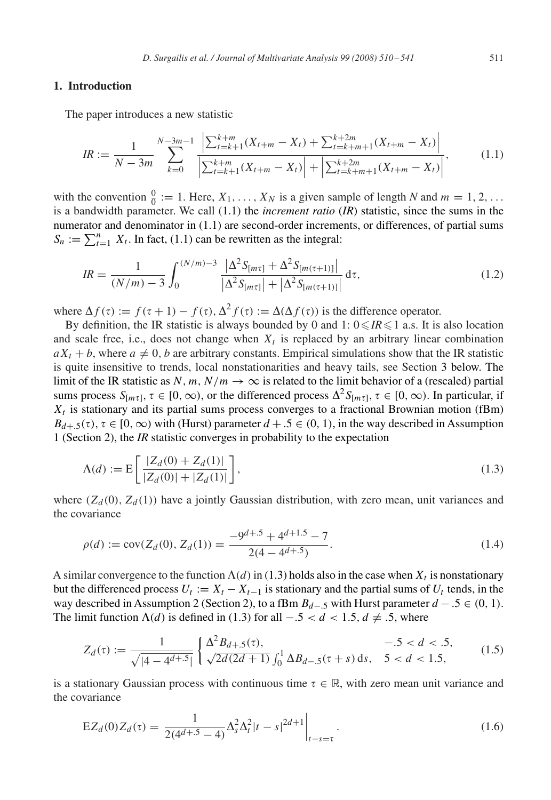# <span id="page-1-0"></span>**1. Introduction**

The paper introduces a new statistic

$$
IR := \frac{1}{N - 3m} \sum_{k=0}^{N-3m-1} \frac{\left| \sum_{t=k+1}^{k+m} (X_{t+m} - X_t) + \sum_{t=k+m+1}^{k+2m} (X_{t+m} - X_t) \right|}{\left| \sum_{t=k+1}^{k+m} (X_{t+m} - X_t) \right| + \left| \sum_{t=k+m+1}^{k+2m} (X_{t+m} - X_t) \right|},\tag{1.1}
$$

with the convention  $\frac{0}{0} := 1$ . Here,  $X_1, \ldots, X_N$  is a given sample of length *N* and  $m = 1, 2, \ldots$ is a bandwidth parameter. We call (1.1) the *increment ratio* (*IR*) statistic, since the sums in the numerator and denominator in (1.1) are second-order increments, or differences, of partial sums  $S_n := \sum_{t=1}^n X_t$ . In fact, (1.1) can be rewritten as the integral:

$$
IR = \frac{1}{(N/m) - 3} \int_0^{(N/m) - 3} \frac{|\Delta^2 S_{[m\tau]} + \Delta^2 S_{[m(\tau+1)]}|}{|\Delta^2 S_{[m\tau]}| + |\Delta^2 S_{[m(\tau+1)]}|} d\tau,
$$
\n(1.2)

where  $\Delta f(\tau) := f(\tau + 1) - f(\tau), \Delta^2 f(\tau) := \Delta(\Delta f(\tau))$  is the difference operator.

By definition, the IR statistic is always bounded by 0 and  $1: 0 \leq R \leq 1$  a.s. It is also location and scale free, i.e., does not change when  $X_t$  is replaced by an arbitrary linear combination  $aX_t + b$ , where  $a \neq 0$ , b are arbitrary constants. Empirical simulations show that the IR statistic is quite insensitive to trends, local nonstationarities and heavy tails, see Section [3](#page-8-0) below. The limit of the IR statistic as N, m,  $N/m \rightarrow \infty$  is related to the limit behavior of a (rescaled) partial sums process  $S_{[m\tau]}$ ,  $\tau \in [0,\infty)$ , or the differenced process  $\Delta^2 S_{[m\tau]}$ ,  $\tau \in [0,\infty)$ . In particular, if  $X_t$  is stationary and its partial sums process converges to a fractional Brownian motion (fBm)  $B_{d+5}(\tau)$ ,  $\tau \in [0, \infty)$  with (Hurst) parameter  $d + .5 \in (0, 1)$ , in the way described in Assumption 1 (Section [2\)](#page-4-0), the *IR* statistic converges in probability to the expectation

$$
\Lambda(d) := \mathcal{E}\left[\frac{|Z_d(0) + Z_d(1)|}{|Z_d(0)| + |Z_d(1)|}\right],\tag{1.3}
$$

where  $(Z_d(0), Z_d(1))$  have a jointly Gaussian distribution, with zero mean, unit variances and the covariance

$$
\rho(d) := \text{cov}(Z_d(0), Z_d(1)) = \frac{-9^{d+5} + 4^{d+1.5} - 7}{2(4 - 4^{d+5})}.
$$
\n(1.4)

A similar convergence to the function  $\Lambda(d)$  in (1.3) holds also in the case when  $X_t$  is nonstationary but the differenced process  $U_t := X_t - X_{t-1}$  is stationary and the partial sums of  $U_t$  tends, in the way described in Assumption 2 (Section [2\)](#page-4-0), to a fBm  $B_{d-5}$  with Hurst parameter  $d - .5 \in (0, 1)$ . The limit function  $\Lambda(d)$  is defined in (1.3) for all  $-.5 < d < 1.5, d \neq .5$ , where

$$
Z_d(\tau) := \frac{1}{\sqrt{|4 - 4^{d+.5}|}} \begin{cases} \Delta^2 B_{d+.5}(\tau), & -.5 < d < .5, \\ \sqrt{2d(2d+1)} \int_0^1 \Delta B_{d-.5}(\tau + s) \, ds, & 5 < d < 1.5, \end{cases}
$$
(1.5)

is a stationary Gaussian process with continuous time  $\tau \in \mathbb{R}$ , with zero mean unit variance and the covariance

$$
EZ_d(0)Z_d(\tau) = \left. \frac{1}{2(4^{d+5} - 4)} \Delta_s^2 \Delta_t^2 |t - s|^{2d+1} \right|_{t - s = \tau}.
$$
\n(1.6)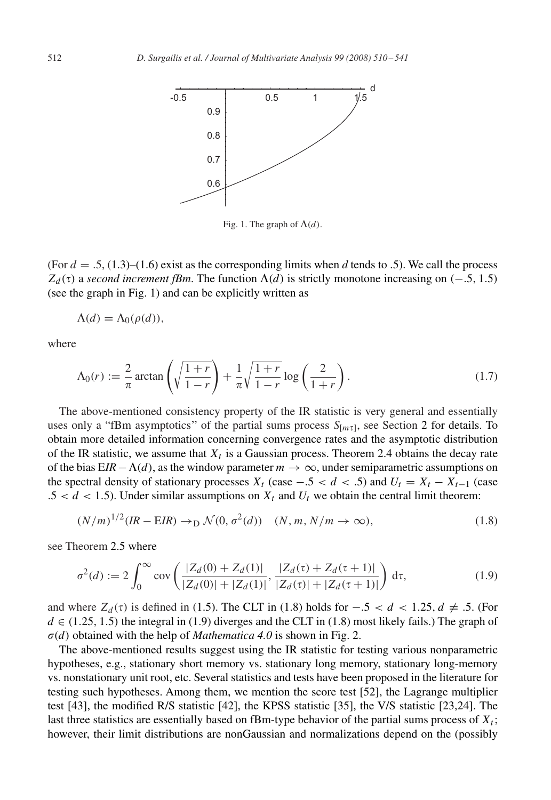<span id="page-2-0"></span>

Fig. 1. The graph of  $\Lambda(d)$ .

(For  $d = .5$ , [\(1.3\)](#page-1-0)–[\(1.6\)](#page-1-0) exist as the corresponding limits when d tends to .5). We call the process  $Z_d(\tau)$  a *second increment fBm*. The function  $\Lambda(d)$  is strictly monotone increasing on (-.5, 1.5) (see the graph in Fig. 1) and can be explicitly written as

$$
\Lambda(d) = \Lambda_0(\rho(d)),
$$

where

$$
\Lambda_0(r) := \frac{2}{\pi} \arctan\left(\sqrt{\frac{1+r}{1-r}}\right) + \frac{1}{\pi} \sqrt{\frac{1+r}{1-r}} \log\left(\frac{2}{1+r}\right). \tag{1.7}
$$

The above-mentioned consistency property of the IR statistic is very general and essentially uses only a "fBm asymptotics" of the partial sums process  $S_{[m\tau]}$ , see Section [2](#page-4-0) for details. To obtain more detailed information concerning convergence rates and the asymptotic distribution of the IR statistic, we assume that  $X_t$  is a Gaussian process. Theorem [2.4](#page-6-0) obtains the decay rate of the bias  $EIR - \Lambda(d)$ , as the window parameter  $m \to \infty$ , under semiparametric assumptions on the spectral density of stationary processes  $X_t$  (case  $-.5 < d < .5$ ) and  $U_t = X_t - X_{t-1}$  (case  $.5 < d < 1.5$ ). Under similar assumptions on  $X_t$  and  $U_t$  we obtain the central limit theorem:

$$
(N/m)^{1/2}(IR - EIR) \to_D \mathcal{N}(0, \sigma^2(d)) \quad (N, m, N/m \to \infty),
$$
\n(1.8)

see Theorem [2.5](#page-7-0) where

$$
\sigma^{2}(d) := 2 \int_{0}^{\infty} \text{cov}\left(\frac{|Z_{d}(0) + Z_{d}(1)|}{|Z_{d}(0)| + |Z_{d}(1)|}, \frac{|Z_{d}(\tau) + Z_{d}(\tau + 1)|}{|Z_{d}(\tau)| + |Z_{d}(\tau + 1)|}\right) d\tau, \tag{1.9}
$$

and where  $Z_d(\tau)$  is defined in [\(1.5\)](#page-1-0). The CLT in (1.8) holds for  $-.5 < d < 1.25$ ,  $d \neq .5$ . (For  $d \in (1.25, 1.5)$  the integral in (1.9) diverges and the CLT in (1.8) most likely fails.) The graph of  $\sigma(d)$  obtained with the help of *Mathematica 4.0* is shown in Fig. [2.](#page-3-0)

The above-mentioned results suggest using the IR statistic for testing various nonparametric hypotheses, e.g., stationary short memory vs. stationary long memory, stationary long-memory vs. nonstationary unit root, etc. Several statistics and tests have been proposed in the literature for testing such hypotheses. Among them, we mention the score test [\[52\],](#page-31-0) the Lagrange multiplier test [\[43\],](#page-30-0) the modified R/S statistic [\[42\],](#page-30-0) the KPSS statistic [\[35\],](#page-30-0) the V/S statistic [\[23,24\].](#page-30-0) The last three statistics are essentially based on fBm-type behavior of the partial sums process of  $X_t$ ; however, their limit distributions are nonGaussian and normalizations depend on the (possibly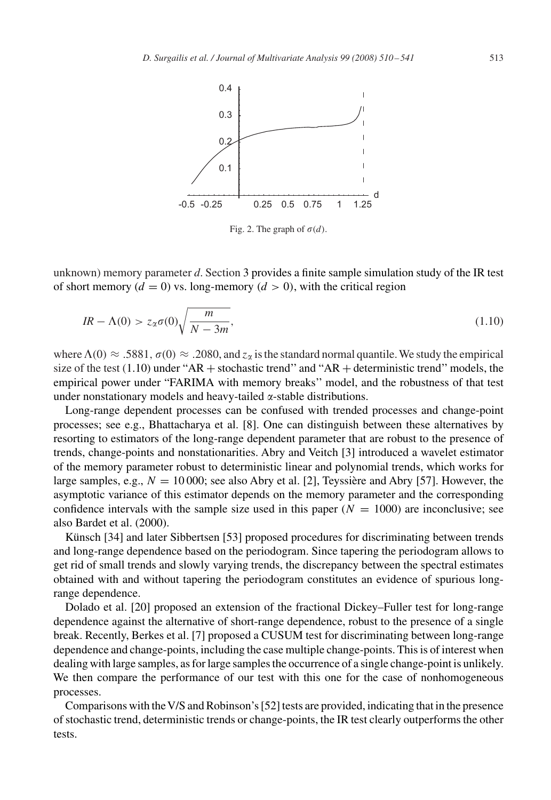<span id="page-3-0"></span>

Fig. 2. The graph of  $\sigma(d)$ .

unknown) memory parameter *d*. Section [3](#page-8-0) provides a finite sample simulation study of the IR test of short memory ( $d = 0$ ) vs. long-memory ( $d > 0$ ), with the critical region

$$
IR - \Lambda(0) > z_{\alpha}\sigma(0)\sqrt{\frac{m}{N - 3m}},\tag{1.10}
$$

where  $\Lambda(0) \approx .5881$ ,  $\sigma(0) \approx .2080$ , and  $z_{\alpha}$  is the standard normal quantile. We study the empirical size of the test  $(1.10)$  under "AR + stochastic trend" and "AR + deterministic trend" models, the empirical power under "FARIMA with memory breaks'' model, and the robustness of that test under nonstationary models and heavy-tailed  $\alpha$ -stable distributions.

Long-range dependent processes can be confused with trended processes and change-point processes; see e.g., Bhattacharya et al. [\[8\].](#page-29-0) One can distinguish between these alternatives by resorting to estimators of the long-range dependent parameter that are robust to the presence of trends, change-points and nonstationarities. Abry and Veitch [\[3\]](#page-29-0) introduced a wavelet estimator of the memory parameter robust to deterministic linear and polynomial trends, which works for large samples, e.g.,  $N = 10000$ ; see also Abry et al. [\[2\],](#page-29-0) Teyssière and Abry [\[57\].](#page-31-0) However, the asymptotic variance of this estimator depends on the memory parameter and the corresponding confidence intervals with the sample size used in this paper  $(N = 1000)$  are inconclusive; see also Bardet et al. (2000).

Künsch [\[34\]](#page-30-0) and later Sibbertsen [\[53\]](#page-31-0) proposed procedures for discriminating between trends and long-range dependence based on the periodogram. Since tapering the periodogram allows to get rid of small trends and slowly varying trends, the discrepancy between the spectral estimates obtained with and without tapering the periodogram constitutes an evidence of spurious longrange dependence.

Dolado et al. [\[20\]](#page-30-0) proposed an extension of the fractional Dickey–Fuller test for long-range dependence against the alternative of short-range dependence, robust to the presence of a single break. Recently, Berkes et al. [\[7\]](#page-29-0) proposed a CUSUM test for discriminating between long-range dependence and change-points, including the case multiple change-points. This is of interest when dealing with large samples, as for large samples the occurrence of a single change-point is unlikely. We then compare the performance of our test with this one for the case of nonhomogeneous processes.

Comparisons with theV/S and Robinson's [\[52\]](#page-31-0) tests are provided, indicating that in the presence of stochastic trend, deterministic trends or change-points, the IR test clearly outperforms the other tests.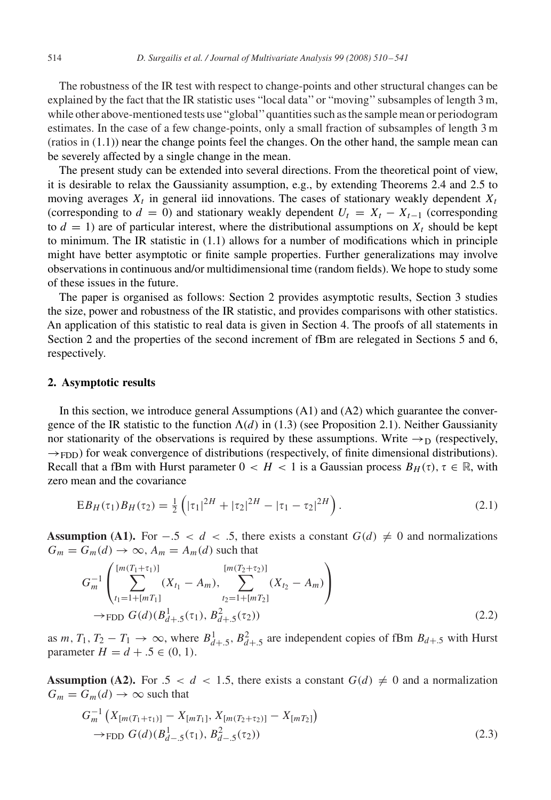<span id="page-4-0"></span>The robustness of the IR test with respect to change-points and other structural changes can be explained by the fact that the IR statistic uses "local data'' or "moving'' subsamples of length 3 m, while other above-mentioned tests use "global''quantities such as the sample mean or periodogram estimates. In the case of a few change-points, only a small fraction of subsamples of length 3 m  $(rations in (1.1))$  $(rations in (1.1))$  $(rations in (1.1))$  near the change points feel the changes. On the other hand, the sample mean can be severely affected by a single change in the mean.

The present study can be extended into several directions. From the theoretical point of view, it is desirable to relax the Gaussianity assumption, e.g., by extending Theorems [2.4](#page-6-0) and [2.5](#page-7-0) to moving averages  $X_t$  in general iid innovations. The cases of stationary weakly dependent  $X_t$ (corresponding to  $d = 0$ ) and stationary weakly dependent  $U_t = X_t - X_{t-1}$  (corresponding to  $d = 1$ ) are of particular interest, where the distributional assumptions on  $X_t$  should be kept to minimum. The IR statistic in [\(1.1\)](#page-1-0) allows for a number of modifications which in principle might have better asymptotic or finite sample properties. Further generalizations may involve observations in continuous and/or multidimensional time (random fields). We hope to study some of these issues in the future.

The paper is organised as follows: Section 2 provides asymptotic results, Section [3](#page-8-0) studies the size, power and robustness of the IR statistic, and provides comparisons with other statistics. An application of this statistic to real data is given in Section [4.](#page-17-0) The proofs of all statements in Section 2 and the properties of the second increment of fBm are relegated in Sections [5](#page-19-0) and [6,](#page-28-0) respectively.

#### **2. Asymptotic results**

In this section, we introduce general Assumptions (A1) and (A2) which guarantee the convergence of the IR statistic to the function  $\Lambda(d)$  in [\(1.3\)](#page-1-0) (see Proposition [2.1\)](#page-5-0). Neither Gaussianity nor stationarity of the observations is required by these assumptions. Write  $\rightarrow_D$  (respectively,  $\rightarrow$  FDD) for weak convergence of distributions (respectively, of finite dimensional distributions). Recall that a fBm with Hurst parameter  $0 < H < 1$  is a Gaussian process  $B_H(\tau)$ ,  $\tau \in \mathbb{R}$ , with zero mean and the covariance

$$
EB_H(\tau_1)B_H(\tau_2) = \frac{1}{2} \left( |\tau_1|^{2H} + |\tau_2|^{2H} - |\tau_1 - \tau_2|^{2H} \right).
$$
 (2.1)

**Assumption (A1).** For  $-.5 < d < .5$ , there exists a constant  $G(d) \neq 0$  and normalizations  $G_m = G_m(d) \rightarrow \infty$ ,  $A_m = A_m(d)$  such that

$$
G_m^{-1}\left(\sum_{t_1=1+[mT_1]}^{[m(T_1+\tau_1)]}(X_{t_1}-A_m),\sum_{t_2=1+[mT_2]}^{[m(T_2+\tau_2)]}(X_{t_2}-A_m)\right)
$$
  
\n
$$
\rightarrow \text{FDD } G(d)(B_{d+.5}^1(\tau_1), B_{d+.5}^2(\tau_2))
$$
\n(2.2)

as  $m, T_1, T_2 - T_1 \rightarrow \infty$ , where  $B^1_{d+.5}, B^2_{d+.5}$  are independent copies of fBm  $B_{d+.5}$  with Hurst parameter  $H = d + .5 \in (0, 1)$ .

**Assumption (A2).** For .5 <  $d$  < 1.5, there exists a constant  $G(d) \neq 0$  and a normalization  $G_m = G_m(d) \rightarrow \infty$  such that

$$
G_m^{-1}\left(X_{[m(T_1+\tau_1)]}-X_{[mT_1]}, X_{[m(T_2+\tau_2)]}-X_{[mT_2]}\right)
$$
  
\n
$$
\rightarrow
$$
 FDD  $G(d)(B_{d-5}^1(\tau_1), B_{d-5}^2(\tau_2))$  (2.3)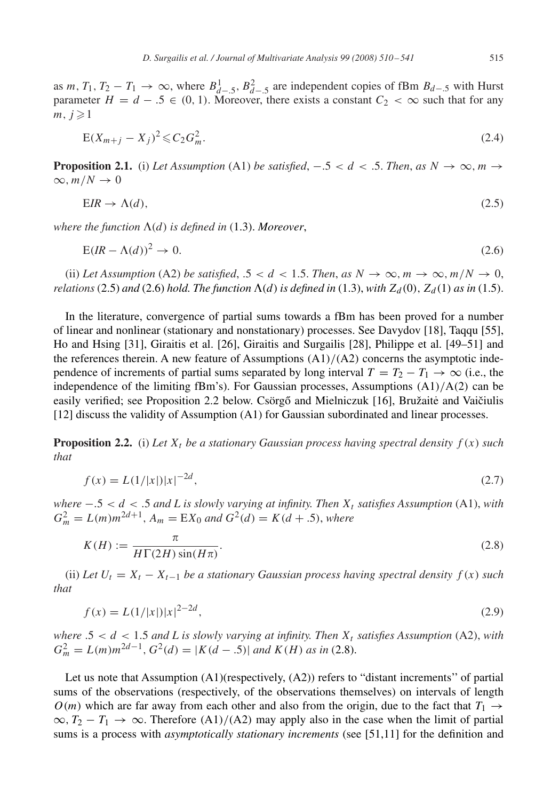<span id="page-5-0"></span>as *m*,  $T_1$ ,  $T_2 - T_1 \rightarrow \infty$ , where  $B^1_{d-5}$ ,  $B^2_{d-5}$  are independent copies of fBm  $B_{d-5}$  with Hurst parameter  $H = d - 0.5 \in (0, 1)$ . Moreover, there exists a constant  $C_2 < \infty$  such that for any  $m, j \geqslant 1$ 

$$
E(X_{m+j} - X_j)^2 \leqslant C_2 G_m^2. \tag{2.4}
$$

**Proposition 2.1.** (i) *Let Assumption* (A1) *be satisfied*,  $-.5 < d < .5$ . *Then, as*  $N \rightarrow \infty$ ,  $m \rightarrow$  $\infty$ ,  $m/N \to 0$ 

$$
EIR \to \Lambda(d),\tag{2.5}
$$

where the function  $\Lambda(d)$  is defined in  $(1.3)$ . Moreover,

$$
E(lR - \Lambda(d))^2 \to 0. \tag{2.6}
$$

(ii) Let Assumption (A2) be satisfied, .5 < d < 1.5. *Then, as*  $N \to \infty$ ,  $m \to \infty$ ,  $m/N \to 0$ , *relations* (2.5) *and* (2.6) *hold. The function*  $\Lambda$ (*d*) *is defined in* [\(1.3\)](#page-1-0), *with*  $Z_d(0)$ ,  $Z_d(1)$  *as in* [\(1.5\)](#page-1-0).

In the literature, convergence of partial sums towards a fBm has been proved for a number of linear and nonlinear (stationary and nonstationary) processes. See Davydov [\[18\],](#page-30-0) Taqqu [\[55\],](#page-31-0) Ho and Hsing [\[31\],](#page-30-0) Giraitis et al. [\[26\],](#page-30-0) Giraitis and Surgailis [\[28\],](#page-30-0) Philippe et al. [\[49–51\]](#page-31-0) and the references therein. A new feature of Assumptions (A1)/(A2) concerns the asymptotic independence of increments of partial sums separated by long interval  $T = T_2 - T_1 \rightarrow \infty$  (i.e., the independence of the limiting fBm's). For Gaussian processes, Assumptions  $(A1)/A(2)$  can be easily verified; see Proposition 2.2 below. Csörgő and Mielniczuk [\[16\],](#page-30-0) Bružaitė and Vaičiulis [\[12\]](#page-30-0) discuss the validity of Assumption (A1) for Gaussian subordinated and linear processes.

**Proposition 2.2.** (i) Let  $X_t$  be a stationary Gaussian process having spectral density  $f(x)$  such *that*

$$
f(x) = L(1/|x|)|x|^{-2d},\tag{2.7}
$$

*where*  $-.5 < d < .5$  *and L is slowly varying at infinity. Then*  $X_t$  *satisfies Assumption* (A1), *with*  $G_m^2 = L(m)m^{2d+1}$ ,  $A_m = EX_0$  and  $G^2(d) = K(d+0.5)$ , where

$$
K(H) := \frac{\pi}{H\Gamma(2H)\sin(H\pi)}.
$$
\n(2.8)

(ii) Let  $U_t = X_t - X_{t-1}$  be a stationary Gaussian process having spectral density  $f(x)$  such *that*

$$
f(x) = L(1/|x|)|x|^{2-2d},\tag{2.9}
$$

*where*  $.5 < d < 1.5$  *and L* is slowly varying at infinity. Then  $X_t$  satisfies Assumption (A2), *with*  $G_m^2 = L(m)m^{2d-1}, G^2(d) = |K(d-.5)|$  *and*  $K(H)$  *as in* (2.8).

Let us note that Assumption (A1)(respectively, (A2)) refers to "distant increments'' of partial sums of the observations (respectively, of the observations themselves) on intervals of length O(m) which are far away from each other and also from the origin, due to the fact that  $T_1 \rightarrow$  $\infty$ ,  $T_2 - T_1 \to \infty$ . Therefore (A1)/(A2) may apply also in the case when the limit of partial sums is a process with *asymptotically stationary increments* (see [\[51](#page-31-0)[,11\]](#page-29-0) for the definition and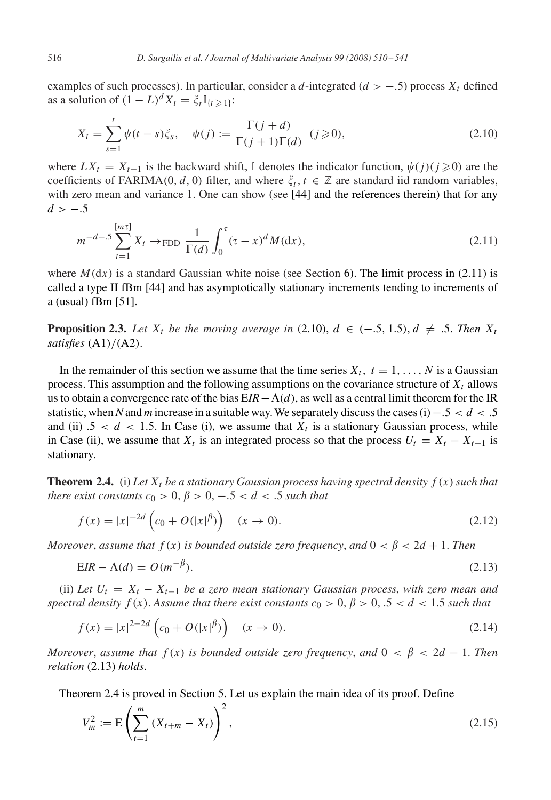<span id="page-6-0"></span>examples of such processes). In particular, consider a d-integrated ( $d > -0.5$ ) process  $X_t$  defined as a solution of  $(1 - L)^d X_t = \xi_t \mathbb{I}_{\{t \geq 1\}}$ :

$$
X_{t} = \sum_{s=1}^{t} \psi(t-s)\xi_{s}, \quad \psi(j) := \frac{\Gamma(j+d)}{\Gamma(j+1)\Gamma(d)} \quad (j \ge 0), \tag{2.10}
$$

where  $LX_t = X_{t-1}$  is the backward shift, I denotes the indicator function,  $\psi(j)(j \geq 0)$  are the coefficients of FARIMA(0, d, 0) filter, and where  $\xi_t$ ,  $t \in \mathbb{Z}$  are standard iid random variables, with zero mean and variance 1. One can show (see [\[44\]](#page-31-0) and the references therein) that for any  $d > -.5$ 

$$
m^{-d-5} \sum_{t=1}^{\lfloor m\tau \rfloor} X_t \to \text{FDD} \frac{1}{\Gamma(d)} \int_0^\tau (\tau - x)^d M(\text{d}x), \tag{2.11}
$$

where  $M(dx)$  is a standard Gaussian white noise (see Section [6\)](#page-28-0). The limit process in (2.11) is called a type II fBm [\[44\]](#page-31-0) and has asymptotically stationary increments tending to increments of a (usual) fBm [\[51\].](#page-31-0)

**Proposition 2.3.** Let  $X_t$  be the moving average in (2.10),  $d \in (-.5, 1.5), d \neq .5$ . Then  $X_t$ *satisfies* (A1)/(A2).

In the remainder of this section we assume that the time series  $X_t$ ,  $t = 1, \ldots, N$  is a Gaussian process. This assumption and the following assumptions on the covariance structure of  $X_t$  allows us to obtain a convergence rate of the bias  $EIR-\Lambda(d)$ , as well as a central limit theorem for the IR statistic, when N and *m* increase in a suitable way. We separately discuss the cases (i)  $-0.5 < d < .5$ and (ii)  $.5 < d < 1.5$ . In Case (i), we assume that  $X_t$  is a stationary Gaussian process, while in Case (ii), we assume that  $X_t$  is an integrated process so that the process  $U_t = X_t - X_{t-1}$  is stationary.

**Theorem 2.4.** (i) Let  $X_t$  be a stationary Gaussian process having spectral density  $f(x)$  such that *there exist constants*  $c_0 > 0$ ,  $\beta > 0$ ,  $-.5 < d < .5$  *such that* 

$$
f(x) = |x|^{-2d} \left( c_0 + O(|x|^{\beta}) \right) \quad (x \to 0). \tag{2.12}
$$

*Moreover, assume that*  $f(x)$  *is bounded outside zero frequency, and*  $0 < \beta < 2d + 1$ *. Then* 

$$
EIR - \Lambda(d) = O(m^{-\beta}).
$$
\n(2.13)

(ii) Let  $U_t = X_t - X_{t-1}$  be a zero mean stationary Gaussian process, with zero mean and *spectral density*  $f(x)$ . *Assume that there exist constants*  $c_0 > 0$ ,  $\beta > 0$ , .5 < d < 1.5 *such that* 

$$
f(x) = |x|^{2-2d} \left( c_0 + O(|x|^{\beta}) \right) \quad (x \to 0). \tag{2.14}
$$

*Moreover*, *assume that*  $f(x)$  *is bounded outside zero frequency, and*  $0 < \beta < 2d - 1$ *. Then relation* (2.13) *holds*.

Theorem 2.4 is proved in Section [5.](#page-19-0) Let us explain the main idea of its proof. Define

$$
V_m^2 := \mathcal{E}\left(\sum_{t=1}^m \left(X_{t+m} - X_t\right)\right)^2,\tag{2.15}
$$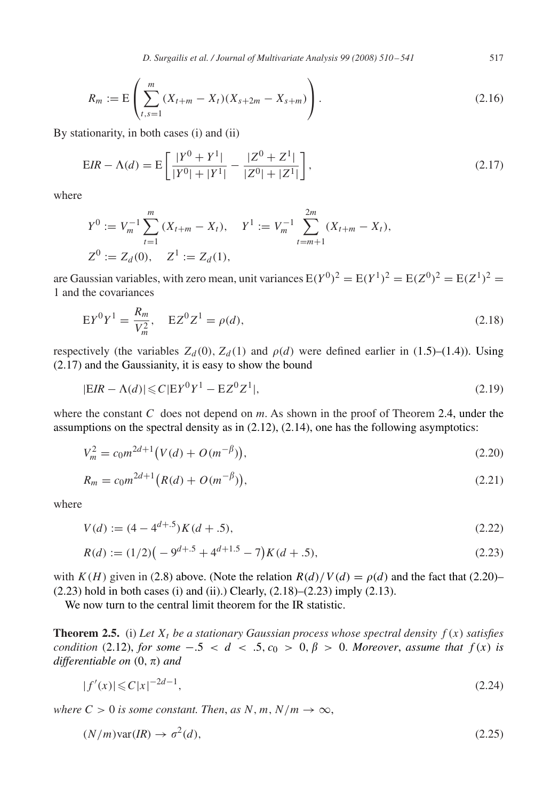*D. Surgailis et al. / Journal of Multivariate Analysis 99 (2008) 510 – 541* 517

<span id="page-7-0"></span>
$$
R_m := \mathbb{E}\left(\sum_{t,s=1}^m (X_{t+m} - X_t)(X_{s+2m} - X_{s+m})\right).
$$
\n(2.16)

By stationarity, in both cases (i) and (ii)

$$
EIR - \Lambda(d) = E\left[\frac{|Y^0 + Y^1|}{|Y^0| + |Y^1|} - \frac{|Z^0 + Z^1|}{|Z^0| + |Z^1|}\right],
$$
\n(2.17)

where

$$
Y^{0} := V_{m}^{-1} \sum_{t=1}^{m} (X_{t+m} - X_{t}), \quad Y^{1} := V_{m}^{-1} \sum_{t=m+1}^{2m} (X_{t+m} - X_{t}),
$$
  

$$
Z^{0} := Z_{d}(0), \quad Z^{1} := Z_{d}(1),
$$

are Gaussian variables, with zero mean, unit variances  $E(Y^0)^2 = E(Y^1)^2 = E(Z^0)^2 = E(Z^1)^2 =$ 1 and the covariances

$$
EY^{0}Y^{1} = \frac{R_{m}}{V_{m}^{2}}, \quad EZ^{0}Z^{1} = \rho(d), \qquad (2.18)
$$

respectively (the variables  $Z_d(0)$ ,  $Z_d(1)$  and  $\rho(d)$  were defined earlier in [\(1.5\)](#page-1-0)–[\(1.4\)](#page-1-0)). Using (2.17) and the Gaussianity, it is easy to show the bound

$$
|EIR - \Lambda(d)| \leq C|EY^0Y^1 - EZ^0Z^1|,\tag{2.19}
$$

where the constant *C* does not depend on *m*. As shown in the proof of Theorem [2.4,](#page-6-0) under the assumptions on the spectral density as in  $(2.12)$ ,  $(2.14)$ , one has the following asymptotics:

$$
V_m^2 = c_0 m^{2d+1} (V(d) + O(m^{-\beta})),
$$
\n(2.20)

$$
R_m = c_0 m^{2d+1} (R(d) + O(m^{-\beta})),
$$
\n(2.21)

where

$$
V(d) := (4 - 4^{d+.5})K(d+.5),\tag{2.22}
$$

$$
R(d) := (1/2)\left(-9^{d+.5} + 4^{d+1.5} - 7\right)K(d+.5),\tag{2.23}
$$

with  $K(H)$  given in [\(2.8\)](#page-5-0) above. (Note the relation  $R(d)/V(d) = \rho(d)$  and the fact that (2.20)–  $(2.23)$  hold in both cases (i) and (ii).) Clearly,  $(2.18)$ – $(2.23)$  imply  $(2.13)$ .

We now turn to the central limit theorem for the IR statistic.

**Theorem 2.5.** (i) Let  $X_t$  be a stationary Gaussian process whose spectral density  $f(x)$  satisfies *condition* [\(2.12\)](#page-6-0), *for some*  $-0.5 < d < 0.5$ ,  $c_0 > 0$ ,  $\beta > 0$ . *Moreover*, *assume that*  $f(x)$  *is differentiable on*  $(0, \pi)$  *and* 

$$
|f'(x)| \leqslant C|x|^{-2d-1},\tag{2.24}
$$

*where*  $C > 0$  *is some constant. Then, as*  $N, m, N/m \rightarrow \infty$ ,

$$
(N/m)\text{var}(IR) \to \sigma^2(d),\tag{2.25}
$$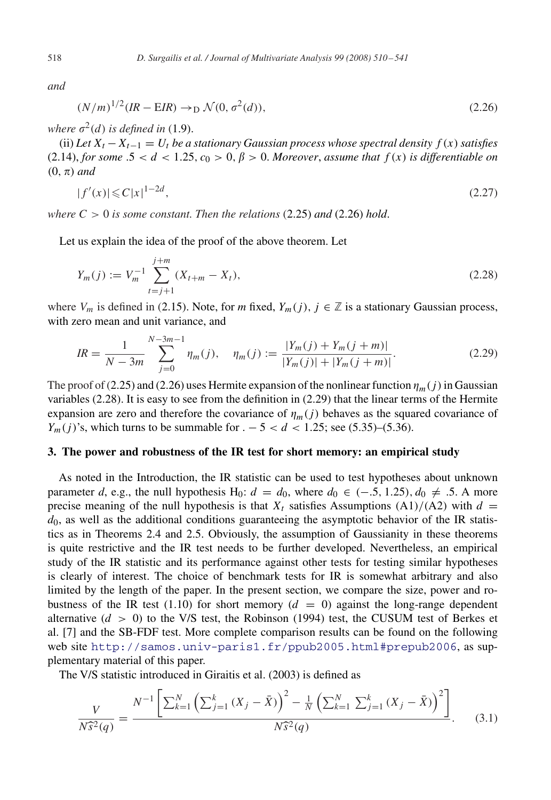<span id="page-8-0"></span>*and*

$$
(N/m)^{1/2}(IR - EIR) \to_D \mathcal{N}(0, \sigma^2(d)),
$$
\n(2.26)

where  $\sigma^2(d)$  is defined in [\(1.9\)](#page-2-0).

(ii) Let  $X_t - X_{t-1} = U_t$  be a stationary Gaussian process whose spectral density  $f(x)$  satisfies [\(2.14\)](#page-6-0), *for some*  $.5 < d < 1.25$ ,  $c_0 > 0$ ,  $\beta > 0$ . *Moreover*, *assume that*  $f(x)$  *is differentiable on*  $(0, \pi)$  *and* 

$$
|f'(x)| \leqslant C|x|^{1-2d},\tag{2.27}
$$

*where*  $C > 0$  *is some constant. Then the relations* [\(2.25\)](#page-7-0) *and* (2.26) *hold.* 

Let us explain the idea of the proof of the above theorem. Let

$$
Y_m(j) := V_m^{-1} \sum_{t=j+1}^{j+m} (X_{t+m} - X_t),
$$
\n(2.28)

where  $V_m$  is defined in [\(2.15\)](#page-6-0). Note, for *m* fixed,  $Y_m(j)$ ,  $j \in \mathbb{Z}$  is a stationary Gaussian process, with zero mean and unit variance, and

$$
IR = \frac{1}{N - 3m} \sum_{j=0}^{N-3m-1} \eta_m(j), \quad \eta_m(j) := \frac{|Y_m(j) + Y_m(j+m)|}{|Y_m(j)| + |Y_m(j+m)|}.
$$
\n(2.29)

The proof of [\(2.25\)](#page-7-0) and (2.26) uses Hermite expansion of the nonlinear function  $\eta_m(j)$  in Gaussian variables (2.28). It is easy to see from the definition in (2.29) that the linear terms of the Hermite expansion are zero and therefore the covariance of  $\eta_m(j)$  behaves as the squared covariance of  $Y_m(j)$ 's, which turns to be summable for .  $-5 < d < 1.25$ ; see [\(5.35\)](#page-25-0)–[\(5.36\)](#page-26-0).

#### **3. The power and robustness of the IR test for short memory: an empirical study**

As noted in the Introduction, the IR statistic can be used to test hypotheses about unknown parameter *d*, e.g., the null hypothesis H<sub>0</sub>:  $d = d_0$ , where  $d_0 \in (-.5, 1.25)$ ,  $d_0 \neq .5$ . A more precise meaning of the null hypothesis is that  $X_t$  satisfies Assumptions (A1)/(A2) with  $d =$  $d_0$ , as well as the additional conditions guaranteeing the asymptotic behavior of the IR statistics as in Theorems [2.4](#page-6-0) and [2.5.](#page-7-0) Obviously, the assumption of Gaussianity in these theorems is quite restrictive and the IR test needs to be further developed. Nevertheless, an empirical study of the IR statistic and its performance against other tests for testing similar hypotheses is clearly of interest. The choice of benchmark tests for IR is somewhat arbitrary and also limited by the length of the paper. In the present section, we compare the size, power and ro-bustness of the IR test [\(1.10\)](#page-3-0) for short memory ( $d = 0$ ) against the long-range dependent alternative  $(d > 0)$  to the V/S test, the Robinson (1994) test, the CUSUM test of Berkes et al. [\[7\]](#page-29-0) and the SB-FDF test. More complete comparison results can be found on the following web site <http://samos.univ-paris1.fr/>[ppub2005.html#prepub2006](mailto:ppub2005.html#prepub2006), as supplementary material of this paper.

The V/S statistic introduced in Giraitis et al. (2003) is defined as

$$
\frac{V}{N\hat{s}^2(q)} = \frac{N^{-1} \left[ \sum_{k=1}^N \left( \sum_{j=1}^k (X_j - \bar{X}) \right)^2 - \frac{1}{N} \left( \sum_{k=1}^N \sum_{j=1}^k (X_j - \bar{X}) \right)^2 \right]}{N\hat{s}^2(q)}.
$$
 (3.1)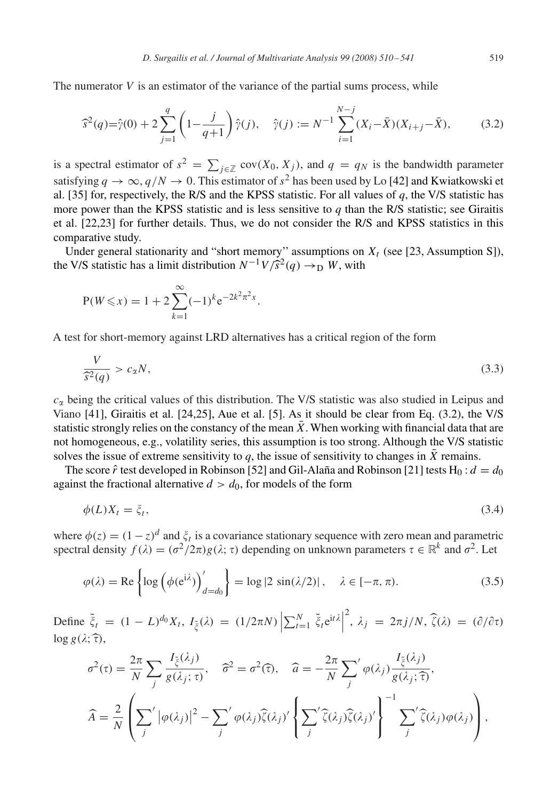<span id="page-9-0"></span>The numerator  $V$  is an estimator of the variance of the partial sums process, while

$$
\widehat{s}^2(q) = \widehat{\gamma}(0) + 2\sum_{j=1}^q \left(1 - \frac{j}{q+1}\right)\widehat{\gamma}(j), \quad \widehat{\gamma}(j) := N^{-1}\sum_{i=1}^{N-j} (X_i - \bar{X})(X_{i+j} - \bar{X}),\tag{3.2}
$$

is a spectral estimator of  $s^2 = \sum_{j \in \mathbb{Z}} cov(X_0, X_j)$ , and  $q = q_N$  is the bandwidth parameter satisfying  $q \to \infty$ ,  $q/N \to 0$ . This estimator of  $s^2$  has been used by Lo [\[42\]](#page-30-0) and Kwiatkowski et al. [\[35\]](#page-30-0) for, respectively, the R/S and the KPSS statistic. For all values of *q*, the V/S statistic has more power than the KPSS statistic and is less sensitive to  $q$  than the R/S statistic; see Giraitis et al. [\[22,23\]](#page-30-0) for further details. Thus, we do not consider the R/S and KPSS statistics in this comparative study.

Under general stationarity and "short memory" assumptions on  $X_t$  (see [\[23, Assumption S\]\)](#page-30-0), the V/S statistic has a limit distribution  $N^{-1}V/\tilde{S}^2(q) \rightarrow_D W$ , with

$$
P(W \le x) = 1 + 2 \sum_{k=1}^{\infty} (-1)^k e^{-2k^2 \pi^2 x}.
$$

A test for short-memory against LRD alternatives has a critical region of the form

$$
\frac{V}{\widehat{s}^2(q)} > c_\alpha N,\tag{3.3}
$$

 $c_{\alpha}$  being the critical values of this distribution. The V/S statistic was also studied in Leipus and Viano [\[41\],](#page-30-0) Giraitis et al. [\[24,25\],](#page-30-0) Aue et al. [\[5\].](#page-29-0) As it should be clear from Eq. (3.2), the V/S statistic strongly relies on the constancy of the mean  $\overline{X}$ . When working with financial data that are not homogeneous, e.g., volatility series, this assumption is too strong. Although the V/S statistic solves the issue of extreme sensitivity to *q*, the issue of sensitivity to changes in  $\bar{X}$  remains.

The score  $\hat{r}$  test developed in Robinson [\[52\]](#page-31-0) and Gil-Alaña and Robinson [\[21\]](#page-30-0) tests H<sub>0</sub> :  $d = d_0$ against the fractional alternative  $d > d_0$ , for models of the form

$$
\phi(L)X_t = \xi_t,\tag{3.4}
$$

where  $\phi(z) = (1-z)^d$  and  $\xi_t$  is a covariance stationary sequence with zero mean and parametric spectral density  $f(\lambda) = (\sigma^2/2\pi)g(\lambda; \tau)$  depending on unknown parameters  $\tau \in \mathbb{R}^k$  and  $\sigma^2$ . Let

$$
\varphi(\lambda) = \text{Re}\left\{ \log \left( \phi(e^{i\lambda}) \right)'_{d=d_0} \right\} = \log|2 \sin(\lambda/2)|, \quad \lambda \in [-\pi, \pi). \tag{3.5}
$$

Define  $\tilde{\xi}_t = (1 - L)^{d_0} X_t$ ,  $I_{\tilde{\xi}}(\lambda) = (1/2\pi N) \left| \sum_{t=1}^N \tilde{\xi}_t e^{it\lambda} \right|$ <sup>2</sup>,  $\lambda_j = 2\pi j/N$ ,  $\widehat{\zeta}(\lambda) = (\partial/\partial \tau)$  $\log g(\lambda; \hat{\tau}),$ 

$$
\sigma^{2}(\tau) = \frac{2\pi}{N} \sum_{j} \frac{I_{\xi}(\lambda_{j})}{g(\lambda_{j};\tau)}, \quad \hat{\sigma}^{2} = \sigma^{2}(\hat{\tau}), \quad \hat{a} = -\frac{2\pi}{N} \sum_{j}^{\prime} \varphi(\lambda_{j}) \frac{I_{\xi}(\lambda_{j})}{g(\lambda_{j};\hat{\tau})},
$$

$$
\hat{A} = \frac{2}{N} \left( \sum_{j}^{\prime} |\varphi(\lambda_{j})|^{2} - \sum_{j}^{\prime} \varphi(\lambda_{j}) \hat{\zeta}(\lambda_{j})^{\prime} \left\{ \sum_{j}^{\prime} \hat{\zeta}(\lambda_{j}) \hat{\zeta}(\lambda_{j})^{\prime} \right\}^{-1} \sum_{j}^{\prime} \hat{\zeta}(\lambda_{j}) \varphi(\lambda_{j}) \right),
$$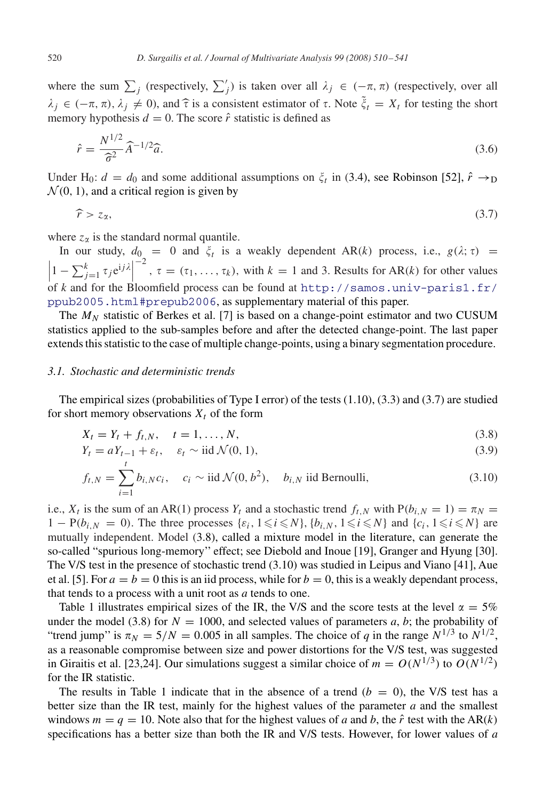<span id="page-10-0"></span>where the sum  $\sum_j$  (respectively,  $\sum'_j$ ) is taken over all  $\lambda_j \in (-\pi, \pi)$  (respectively, over all  $\lambda_j \in (-\pi, \pi), \lambda_j \neq 0$ , and  $\hat{\tau}$  is a consistent estimator of  $\tau$ . Note  $\tilde{\xi}_t = X_t$  for testing the short memory hypothesis  $d = 0$ . The score  $\hat{\epsilon}$  statistic is defined as memory hypothesis  $d = 0$ . The score  $\hat{r}$  statistic is defined as

$$
\hat{r} = \frac{N^{1/2}}{\hat{\sigma}^2} \hat{A}^{-1/2} \hat{a}.\tag{3.6}
$$

Under H<sub>0</sub>:  $d = d_0$  and some additional assumptions on  $\xi_t$  in [\(3.4\)](#page-9-0), see Robinson [\[52\],](#page-31-0)  $\hat{r} \rightarrow_D$  $\mathcal{N}(0, 1)$ , and a critical region is given by

 $\widehat{r} > z_{\alpha},$  (3.7)

where  $z_{\alpha}$  is the standard normal quantile.

In our study,  $d_0 = 0$  and  $\xi_t$  is a weakly dependent AR(k) process, i.e.,  $g(\lambda; \tau) =$  $\left|1 - \sum_{j=1}^k \tau_j e^{i j \lambda}\right|$ of *k* and for the Bloomfield process can be found at <http://samos.univ-paris1.fr/>  $\tau = (\tau_1, \ldots, \tau_k)$ , with  $k = 1$  and 3. Results for AR(k) for other values [ppub2005.html#prepub2006](mailto:ppub2005.html#prepub2006), as supplementary material of this paper.

The  $M_N$  statistic of Berkes et al. [\[7\]](#page-29-0) is based on a change-point estimator and two CUSUM statistics applied to the sub-samples before and after the detected change-point. The last paper extends this statistic to the case of multiple change-points, using a binary segmentation procedure.

#### *3.1. Stochastic and deterministic trends*

The empirical sizes (probabilities of Type I error) of the tests [\(1.10\)](#page-3-0), [\(3.3\)](#page-9-0) and (3.7) are studied for short memory observations  $X_t$  of the form

$$
X_t = Y_t + f_{t,N}, \quad t = 1, \dots, N,
$$
\n(3.8)

$$
Y_t = aY_{t-1} + \varepsilon_t, \quad \varepsilon_t \sim \text{iid } \mathcal{N}(0, 1), \tag{3.9}
$$

$$
f_{t,N} = \sum_{i=1}^{t} b_{i,N} c_i, \quad c_i \sim \text{iid } \mathcal{N}(0, b^2), \quad b_{i,N} \text{ iid Bernoulli}, \tag{3.10}
$$

i.e.,  $X_t$  is the sum of an AR(1) process  $Y_t$  and a stochastic trend  $f_{t,N}$  with  $P(b_{i,N} = 1) = \pi_N =$  $1 - P(b_{i,N} = 0)$ . The three processes  $\{\varepsilon_i, 1 \leq i \leq N\}$ ,  $\{b_{i,N}, 1 \leq i \leq N\}$  and  $\{c_i, 1 \leq i \leq N\}$  are mutually independent. Model (3.8), called a mixture model in the literature, can generate the so-called "spurious long-memory'' effect; see Diebold and Inoue [\[19\],](#page-30-0) Granger and Hyung [\[30\].](#page-30-0) The V/S test in the presence of stochastic trend (3.10) was studied in Leipus and Viano [\[41\],](#page-30-0) Aue et al. [\[5\].](#page-29-0) For  $a = b = 0$  this is an iid process, while for  $b = 0$ , this is a weakly dependant process, that tends to a process with a unit root as *a* tends to one.

Table [1](#page-11-0) illustrates empirical sizes of the IR, the V/S and the score tests at the level  $\alpha = 5\%$ under the model (3.8) for  $N = 1000$ , and selected values of parameters *a*, *b*; the probability of "trend jump" is  $\pi_N = 5/N = 0.005$  in all samples. The choice of *q* in the range  $N^{1/3}$  to  $N^{1/2}$ , as a reasonable compromise between size and power distortions for the V/S test, was suggested in Giraitis et al. [\[23,24\].](#page-30-0) Our simulations suggest a similar choice of  $m = O(N^{1/3})$  to  $O(N^{1/2})$ for the IR statistic.

The results in Table [1](#page-11-0) indicate that in the absence of a trend  $(b = 0)$ , the V/S test has a better size than the IR test, mainly for the highest values of the parameter *a* and the smallest windows  $m = q = 10$ . Note also that for the highest values of *a* and *b*, the  $\hat{r}$  test with the AR(k) specifications has a better size than both the IR and V/S tests. However, for lower values of *a*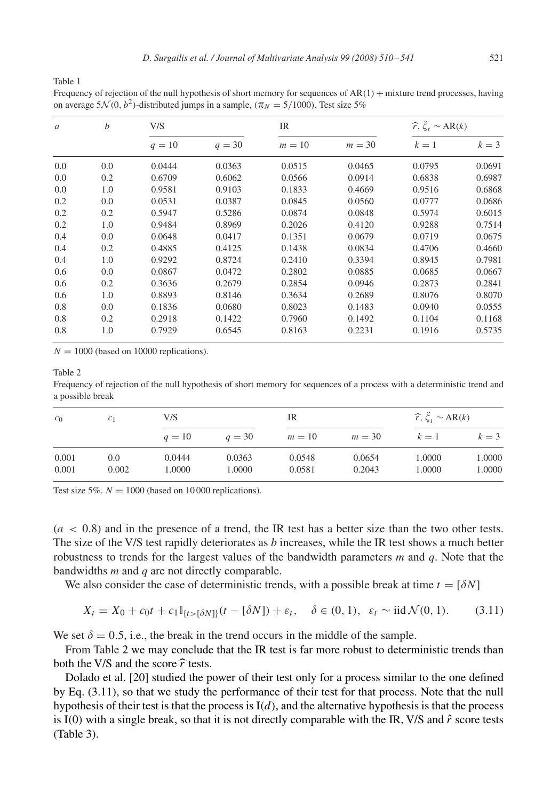<span id="page-11-0"></span>Frequency of rejection of the null hypothesis of short memory for sequences of  $AR(1)$  + mixture trend processes, having on average 5 $\mathcal{N}(0, b^2)$ -distributed jumps in a sample,  $(\pi_N = 5/1000)$ . Test size 5%

| $\mathfrak a$ | $\boldsymbol{b}$ | V/S      |          | IR     |          | $\widehat{r}, \xi_t \sim AR(k)$ |        |  |
|---------------|------------------|----------|----------|--------|----------|---------------------------------|--------|--|
|               |                  | $q = 10$ | $q = 30$ | $m=10$ | $m = 30$ | $k=1$                           | $k=3$  |  |
| 0.0           | 0.0              | 0.0444   | 0.0363   | 0.0515 | 0.0465   | 0.0795                          | 0.0691 |  |
| 0.0           | 0.2              | 0.6709   | 0.6062   | 0.0566 | 0.0914   | 0.6838                          | 0.6987 |  |
| 0.0           | 1.0              | 0.9581   | 0.9103   | 0.1833 | 0.4669   | 0.9516                          | 0.6868 |  |
| 0.2           | 0.0              | 0.0531   | 0.0387   | 0.0845 | 0.0560   | 0.0777                          | 0.0686 |  |
| 0.2           | 0.2              | 0.5947   | 0.5286   | 0.0874 | 0.0848   | 0.5974                          | 0.6015 |  |
| 0.2           | 1.0              | 0.9484   | 0.8969   | 0.2026 | 0.4120   | 0.9288                          | 0.7514 |  |
| 0.4           | 0.0              | 0.0648   | 0.0417   | 0.1351 | 0.0679   | 0.0719                          | 0.0675 |  |
| 0.4           | 0.2              | 0.4885   | 0.4125   | 0.1438 | 0.0834   | 0.4706                          | 0.4660 |  |
| 0.4           | 1.0              | 0.9292   | 0.8724   | 0.2410 | 0.3394   | 0.8945                          | 0.7981 |  |
| 0.6           | 0.0              | 0.0867   | 0.0472   | 0.2802 | 0.0885   | 0.0685                          | 0.0667 |  |
| 0.6           | 0.2              | 0.3636   | 0.2679   | 0.2854 | 0.0946   | 0.2873                          | 0.2841 |  |
| 0.6           | 1.0              | 0.8893   | 0.8146   | 0.3634 | 0.2689   | 0.8076                          | 0.8070 |  |
| 0.8           | 0.0              | 0.1836   | 0.0680   | 0.8023 | 0.1483   | 0.0940                          | 0.0555 |  |
| 0.8           | 0.2              | 0.2918   | 0.1422   | 0.7960 | 0.1492   | 0.1104                          | 0.1168 |  |
| 0.8           | 1.0              | 0.7929   | 0.6545   | 0.8163 | 0.2231   | 0.1916                          | 0.5735 |  |

 $N = 1000$  (based on 10000 replications).

## Table 2

Frequency of rejection of the null hypothesis of short memory for sequences of a process with a deterministic trend and a possible break

| c <sub>0</sub> | c <sub>1</sub> | V/S      |          | IR     |          | $\hat{r}, \xi_t \sim AR(k)$ |        |
|----------------|----------------|----------|----------|--------|----------|-----------------------------|--------|
|                |                | $q = 10$ | $q = 30$ | $m=10$ | $m = 30$ | $k=1$                       | $k=3$  |
| 0.001          | 0.0            | 0.0444   | 0.0363   | 0.0548 | 0.0654   | 1.0000                      | 1.0000 |
| 0.001          | 0.002          | 1.0000   | 1.0000   | 0.0581 | 0.2043   | 1.0000                      | 1.0000 |

Test size 5%.  $N = 1000$  (based on 10000 replications).

 $(a < 0.8)$  and in the presence of a trend, the IR test has a better size than the two other tests. The size of the V/S test rapidly deteriorates as *b* increases, while the IR test shows a much better robustness to trends for the largest values of the bandwidth parameters *m* and *q*. Note that the bandwidths *m* and *q* are not directly comparable.

We also consider the case of deterministic trends, with a possible break at time  $t = \lfloor \delta N \rfloor$ 

$$
X_t = X_0 + c_0 t + c_1 \mathbb{I}_{\{t > [\delta N]\}}(t - [\delta N]) + \varepsilon_t, \quad \delta \in (0, 1), \ \varepsilon_t \sim \text{iid } \mathcal{N}(0, 1). \tag{3.11}
$$

We set  $\delta = 0.5$ , i.e., the break in the trend occurs in the middle of the sample.

From Table 2 we may conclude that the IR test is far more robust to deterministic trends than both the V/S and the score  $\hat{r}$  tests.

Dolado et al. [\[20\]](#page-30-0) studied the power of their test only for a process similar to the one defined by Eq. (3.11), so that we study the performance of their test for that process. Note that the null hypothesis of their test is that the process is  $I(d)$ , and the alternative hypothesis is that the process is I(0) with a single break, so that it is not directly comparable with the IR, V/S and  $\hat{r}$  score tests (Table [3\)](#page-12-0).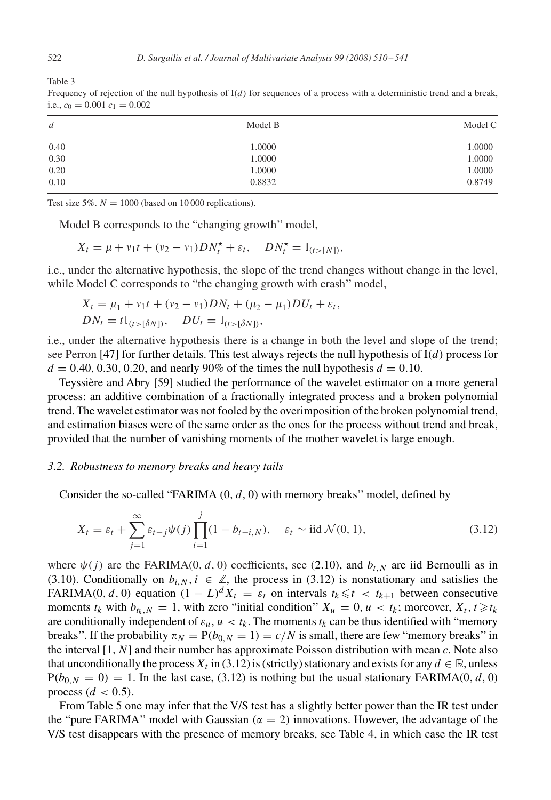| $\boldsymbol{d}$ | Model B | Model C |
|------------------|---------|---------|
| 0.40             | 1.0000  | 1.0000  |
| 0.30             | 1.0000  | 1.0000  |
| 0.20             | 1.0000  | 1.0000  |
| 0.10             | 0.8832  | 0.8749  |

Frequency of rejection of the null hypothesis of  $I(d)$  for sequences of a process with a deterministic trend and a break, i.e.,  $c_0 = 0.001 c_1 = 0.002$ 

Test size 5%.  $N = 1000$  (based on 10000 replications).

Model B corresponds to the "changing growth'' model,

$$
X_t = \mu + v_1 t + (v_2 - v_1) D N_t^{\star} + \varepsilon_t, \quad D N_t^{\star} = \mathbb{I}_{(t > [N])},
$$

i.e., under the alternative hypothesis, the slope of the trend changes without change in the level, while Model C corresponds to "the changing growth with crash" model,

$$
X_t = \mu_1 + v_1 t + (v_2 - v_1) DN_t + (\mu_2 - \mu_1) DU_t + \varepsilon_t,
$$
  
\n
$$
DN_t = t \mathbb{I}_{(t > [\delta N])}, \quad DU_t = \mathbb{I}_{(t > [\delta N])},
$$

i.e., under the alternative hypothesis there is a change in both the level and slope of the trend; see Perron [\[47\]](#page-31-0) for further details. This test always rejects the null hypothesis of  $I(d)$  process for  $d = 0.40, 0.30, 0.20,$  and nearly 90% of the times the null hypothesis  $d = 0.10$ .

Teyssière and Abry [\[59\]](#page-31-0) studied the performance of the wavelet estimator on a more general process: an additive combination of a fractionally integrated process and a broken polynomial trend. The wavelet estimator was not fooled by the overimposition of the broken polynomial trend, and estimation biases were of the same order as the ones for the process without trend and break, provided that the number of vanishing moments of the mother wavelet is large enough.

#### *3.2. Robustness to memory breaks and heavy tails*

Consider the so-called "FARIMA  $(0, d, 0)$  with memory breaks" model, defined by

$$
X_t = \varepsilon_t + \sum_{j=1}^{\infty} \varepsilon_{t-j} \psi(j) \prod_{i=1}^j (1 - b_{t-i,N}), \quad \varepsilon_t \sim \text{iid } \mathcal{N}(0, 1), \tag{3.12}
$$

where  $\psi(j)$  are the FARIMA(0, d, 0) coefficients, see [\(2.10\)](#page-6-0), and  $b_{t,N}$  are iid Bernoulli as in [\(3.10\)](#page-10-0). Conditionally on  $b_{i,N}$ ,  $i \in \mathbb{Z}$ , the process in (3.12) is nonstationary and satisfies the FARIMA(0, d, 0) equation  $(1 - L)^d X_t = \varepsilon_t$  on intervals  $t_k \le t < t_{k+1}$  between consecutive moments  $t_k$  with  $b_{t_k,N} = 1$ , with zero "initial condition"  $X_u = 0, u < t_k$ ; moreover,  $X_t, t \ge t_k$ are conditionally independent of  $\varepsilon_u$ ,  $u < t_k$ . The moments  $t_k$  can be thus identified with "memory" breaks". If the probability  $\pi_N = P(b_{0,N} = 1) = c/N$  is small, there are few "memory breaks" in the interval [1, N] and their number has approximate Poisson distribution with mean *c*. Note also that unconditionally the process  $X_t$  in (3.12) is (strictly) stationary and exists for any  $d \in \mathbb{R}$ , unless  $P(b_{0,N} = 0) = 1$ . In the last case, (3.12) is nothing but the usual stationary FARIMA(0, d, 0) process  $(d < 0.5)$ .

From Table [5](#page-13-0) one may infer that the V/S test has a slightly better power than the IR test under the "pure FARIMA" model with Gaussian ( $\alpha = 2$ ) innovations. However, the advantage of the V/S test disappears with the presence of memory breaks, see Table [4,](#page-13-0) in which case the IR test

<span id="page-12-0"></span>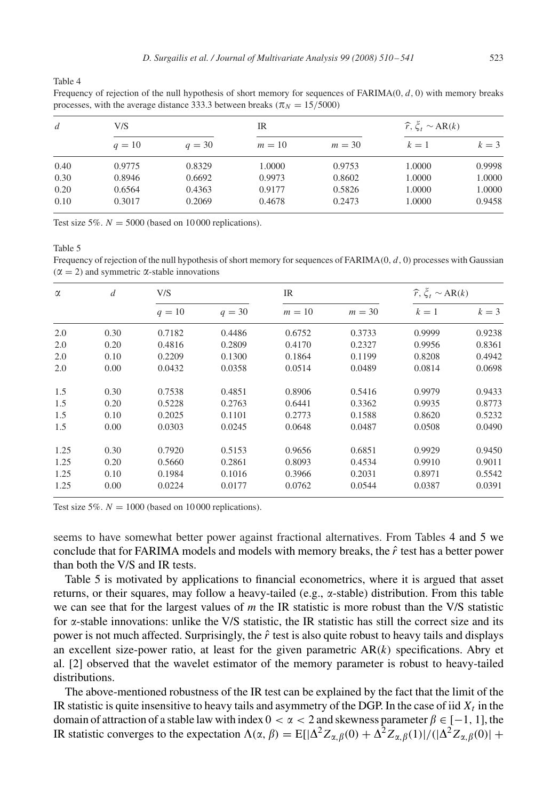<span id="page-13-0"></span>Frequency of rejection of the null hypothesis of short memory for sequences of  $FARIMA(0, d, 0)$  with memory breaks processes, with the average distance 333.3 between breaks ( $\pi_N = 15/5000$ )

| d    | V/S    |          | IR     |          | $\widehat{r}, \xi_t \sim AR(k)$ |        |
|------|--------|----------|--------|----------|---------------------------------|--------|
|      | $q=10$ | $q = 30$ | $m=10$ | $m = 30$ | $k=1$                           | $k=3$  |
| 0.40 | 0.9775 | 0.8329   | 1.0000 | 0.9753   | 1.0000                          | 0.9998 |
| 0.30 | 0.8946 | 0.6692   | 0.9973 | 0.8602   | 1.0000                          | 1.0000 |
| 0.20 | 0.6564 | 0.4363   | 0.9177 | 0.5826   | 1.0000                          | 1.0000 |
| 0.10 | 0.3017 | 0.2069   | 0.4678 | 0.2473   | 1.0000                          | 0.9458 |

Test size 5%.  $N = 5000$  (based on 10000 replications).

Table 5

Frequency of rejection of the null hypothesis of short memory for sequences of  $FARIMA(0, d, 0)$  processes with Gaussian  $(\alpha = 2)$  and symmetric  $\alpha$ -stable innovations

| $\alpha$ | $\overline{d}$ | V/S      |          | IR     |          | $\widehat{r}, \xi_t \sim AR(k)$ |        |
|----------|----------------|----------|----------|--------|----------|---------------------------------|--------|
|          |                | $q = 10$ | $q = 30$ | $m=10$ | $m = 30$ | $k=1$                           | $k=3$  |
| 2.0      | 0.30           | 0.7182   | 0.4486   | 0.6752 | 0.3733   | 0.9999                          | 0.9238 |
| 2.0      | 0.20           | 0.4816   | 0.2809   | 0.4170 | 0.2327   | 0.9956                          | 0.8361 |
| 2.0      | 0.10           | 0.2209   | 0.1300   | 0.1864 | 0.1199   | 0.8208                          | 0.4942 |
| 2.0      | 0.00           | 0.0432   | 0.0358   | 0.0514 | 0.0489   | 0.0814                          | 0.0698 |
| 1.5      | 0.30           | 0.7538   | 0.4851   | 0.8906 | 0.5416   | 0.9979                          | 0.9433 |
| 1.5      | 0.20           | 0.5228   | 0.2763   | 0.6441 | 0.3362   | 0.9935                          | 0.8773 |
| 1.5      | 0.10           | 0.2025   | 0.1101   | 0.2773 | 0.1588   | 0.8620                          | 0.5232 |
| 1.5      | 0.00           | 0.0303   | 0.0245   | 0.0648 | 0.0487   | 0.0508                          | 0.0490 |
| 1.25     | 0.30           | 0.7920   | 0.5153   | 0.9656 | 0.6851   | 0.9929                          | 0.9450 |
| 1.25     | 0.20           | 0.5660   | 0.2861   | 0.8093 | 0.4534   | 0.9910                          | 0.9011 |
| 1.25     | 0.10           | 0.1984   | 0.1016   | 0.3966 | 0.2031   | 0.8971                          | 0.5542 |
| 1.25     | 0.00           | 0.0224   | 0.0177   | 0.0762 | 0.0544   | 0.0387                          | 0.0391 |

Test size 5%.  $N = 1000$  (based on 10000 replications).

seems to have somewhat better power against fractional alternatives. From Tables 4 and 5 we conclude that for FARIMA models and models with memory breaks, the  $\hat{r}$  test has a better power than both the V/S and IR tests.

Table 5 is motivated by applications to financial econometrics, where it is argued that asset returns, or their squares, may follow a heavy-tailed (e.g.,  $\alpha$ -stable) distribution. From this table we can see that for the largest values of *m* the IR statistic is more robust than the V/S statistic for  $\alpha$ -stable innovations: unlike the V/S statistic, the IR statistic has still the correct size and its power is not much affected. Surprisingly, the  $\hat{r}$  test is also quite robust to heavy tails and displays an excellent size-power ratio, at least for the given parametric  $AR(k)$  specifications. Abry et al. [\[2\]](#page-29-0) observed that the wavelet estimator of the memory parameter is robust to heavy-tailed distributions.

The above-mentioned robustness of the IR test can be explained by the fact that the limit of the IR statistic is quite insensitive to heavy tails and asymmetry of the DGP. In the case of iid  $X_t$  in the domain of attraction of a stable law with index  $0 < \alpha < 2$  and skewness parameter  $\beta \in [-1, 1]$ , the IR statistic converges to the expectation  $\Lambda(\alpha, \beta) = E[|\Delta^2 Z_{\alpha, \beta}(0) + \Delta^2 Z_{\alpha, \beta}(1)|/(|\Delta^2 Z_{\alpha, \beta}(0)| +$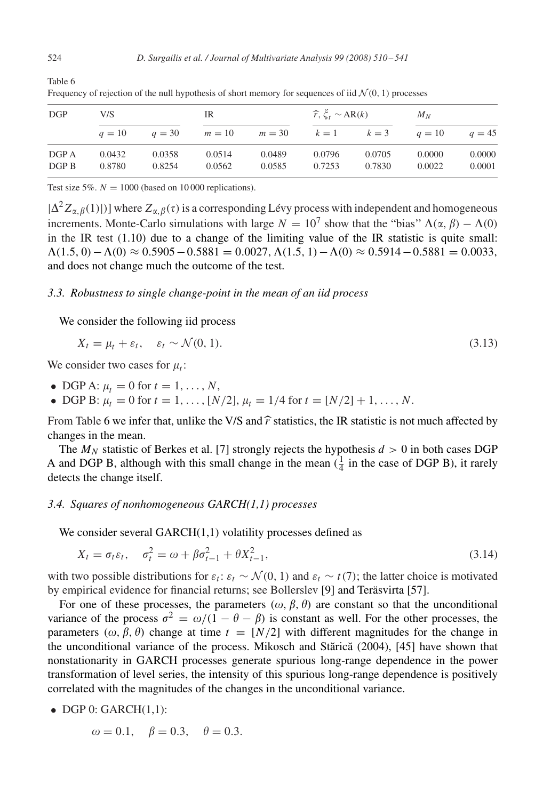| DGP            | V/S              |                  | IR               |                  | $\hat{r}, \xi_t \sim AR(k)$ |                  | $M_N$            |                  |  |
|----------------|------------------|------------------|------------------|------------------|-----------------------------|------------------|------------------|------------------|--|
|                | $q=10$           | $q = 30$         | $m=10$           | $m = 30$         | $k=1$ $k=3$                 |                  | $q=10$           | $q = 45$         |  |
| DGP A<br>DGP B | 0.0432<br>0.8780 | 0.0358<br>0.8254 | 0.0514<br>0.0562 | 0.0489<br>0.0585 | 0.0796<br>0.7253            | 0.0705<br>0.7830 | 0.0000<br>0.0022 | 0.0000<br>0.0001 |  |

Frequency of rejection of the null hypothesis of short memory for sequences of iid  $\mathcal{N}(0, 1)$  processes

Test size 5%.  $N = 1000$  (based on 10000 replications).

 $|\Delta^2 Z_{\alpha,\beta}(1)|$ ] where  $Z_{\alpha,\beta}(\tau)$  is a corresponding Lévy process with independent and homogeneous increments. Monte-Carlo simulations with large  $N = 10^7$  show that the "bias"  $\Lambda(\alpha, \beta) - \Lambda(0)$ in the IR test  $(1.10)$  due to a change of the limiting value of the IR statistic is quite small:  $\Lambda(1.5, 0) - \Lambda(0) \approx 0.5905 - 0.5881 = 0.0027, \Lambda(1.5, 1) - \Lambda(0) \approx 0.5914 - 0.5881 = 0.0033,$ and does not change much the outcome of the test.

## *3.3. Robustness to single change-point in the mean of an iid process*

We consider the following iid process

$$
X_t = \mu_t + \varepsilon_t, \quad \varepsilon_t \sim \mathcal{N}(0, 1). \tag{3.13}
$$

We consider two cases for  $\mu_t$ :

- DGP A:  $\mu_t = 0$  for  $t = 1, \ldots, N$ ,
- DGP B:  $\mu_t = 0$  for  $t = 1, ..., [N/2], \mu_t = 1/4$  for  $t = [N/2] + 1, ..., N$ .

From Table 6 we infer that, unlike the V/S and  $\hat{r}$  statistics, the IR statistic is not much affected by changes in the mean.

The  $M_N$  statistic of Berkes et al. [\[7\]](#page-29-0) strongly rejects the hypothesis  $d > 0$  in both cases DGP A and DGP B, although with this small change in the mean  $(\frac{1}{4}$  in the case of DGP B), it rarely detects the change itself.

# *3.4. Squares of nonhomogeneous GARCH(1,1) processes*

We consider several GARCH(1,1) volatility processes defined as

$$
X_t = \sigma_t \varepsilon_t, \quad \sigma_t^2 = \omega + \beta \sigma_{t-1}^2 + \theta X_{t-1}^2,
$$
\n(3.14)

with two possible distributions for  $\varepsilon_t$ :  $\varepsilon_t \sim \mathcal{N}(0, 1)$  and  $\varepsilon_t \sim t(7)$ ; the latter choice is motivated by empirical evidence for financial returns; see Bollerslev [\[9\]](#page-29-0) and Teräsvirta [\[57\].](#page-31-0)

For one of these processes, the parameters  $(\omega, \beta, \theta)$  are constant so that the unconditional variance of the process  $\sigma^2 = \omega/(1 - \theta - \beta)$  is constant as well. For the other processes, the parameters ( $\omega$ ,  $\beta$ ,  $\theta$ ) change at time  $t = [N/2]$  with different magnitudes for the change in the unconditional variance of the process. Mikosch and Stărică (2004), [\[45\]](#page-31-0) have shown that nonstationarity in GARCH processes generate spurious long-range dependence in the power transformation of level series, the intensity of this spurious long-range dependence is positively correlated with the magnitudes of the changes in the unconditional variance.

 $\bullet$  DGP 0: GARCH $(1,1)$ :

$$
\omega = 0.1, \quad \beta = 0.3, \quad \theta = 0.3.
$$

Table 6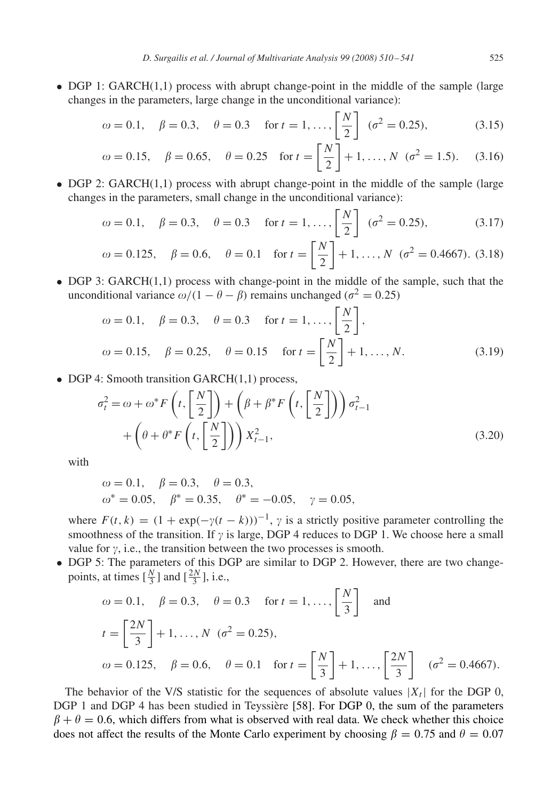• DGP 1: GARCH(1,1) process with abrupt change-point in the middle of the sample (large changes in the parameters, large change in the unconditional variance):

$$
\omega = 0.1, \quad \beta = 0.3, \quad \theta = 0.3 \quad \text{for } t = 1, ..., \left[\frac{N}{2}\right] \ (\sigma^2 = 0.25),
$$
\n(3.15)

$$
\omega = 0.15
$$
,  $\beta = 0.65$ ,  $\theta = 0.25$  for  $t = \left[\frac{N}{2}\right] + 1, ..., N$  ( $\sigma^2 = 1.5$ ). (3.16)

• DGP 2: GARCH(1,1) process with abrupt change-point in the middle of the sample (large changes in the parameters, small change in the unconditional variance):

$$
\omega = 0.1, \quad \beta = 0.3, \quad \theta = 0.3 \quad \text{for } t = 1, ..., \left[\frac{N}{2}\right] \quad (\sigma^2 = 0.25),
$$
\n(3.17)

$$
\omega = 0.125
$$
,  $\beta = 0.6$ ,  $\theta = 0.1$  for  $t = \left[\frac{N}{2}\right] + 1, ..., N$  ( $\sigma^2 = 0.4667$ ). (3.18)

• DGP 3: GARCH(1,1) process with change-point in the middle of the sample, such that the unconditional variance  $\omega/(1 - \theta - \beta)$  remains unchanged ( $\sigma^2 = 0.25$ )

$$
\omega = 0.1, \quad \beta = 0.3, \quad \theta = 0.3 \quad \text{for } t = 1, ..., \left[\frac{N}{2}\right],
$$
  
\n $\omega = 0.15, \quad \beta = 0.25, \quad \theta = 0.15 \quad \text{for } t = \left[\frac{N}{2}\right] + 1, ..., N.$  (3.19)

• DGP 4: Smooth transition GARCH(1,1) process,

$$
\sigma_t^2 = \omega + \omega^* F\left(t, \left[\frac{N}{2}\right]\right) + \left(\beta + \beta^* F\left(t, \left[\frac{N}{2}\right]\right)\right) \sigma_{t-1}^2 + \left(\theta + \theta^* F\left(t, \left[\frac{N}{2}\right]\right)\right) X_{t-1}^2,
$$
\n(3.20)

with

$$
\omega = 0.1
$$
,  $\beta = 0.3$ ,  $\theta = 0.3$ ,  
\n $\omega^* = 0.05$ ,  $\beta^* = 0.35$ ,  $\theta^* = -0.05$ ,  $\gamma = 0.05$ ,

where  $F(t, k) = (1 + \exp(-\gamma(t - k)))^{-1}$ ,  $\gamma$  is a strictly positive parameter controlling the smoothness of the transition. If  $\gamma$  is large, DGP 4 reduces to DGP 1. We choose here a small value for  $\gamma$ , i.e., the transition between the two processes is smooth.

• DGP 5: The parameters of this DGP are similar to DGP 2. However, there are two changepoints, at times  $\left[\frac{N}{3}\right]$  and  $\left[\frac{2N}{3}\right]$ , i.e.,

$$
ω = 0.1,
$$
  $β = 0.3,$   $θ = 0.3$  for  $t = 1, ..., \left[\frac{N}{3}\right]$  and  
\n $t = \left[\frac{2N}{3}\right] + 1, ..., N$  ( $σ2 = 0.25$ ),  
\n $ω = 0.125,$   $β = 0.6,$   $θ = 0.1$  for  $t = \left[\frac{N}{3}\right] + 1, ..., \left[\frac{2N}{3}\right]$  ( $σ2 = 0.4667$ ).

The behavior of the V/S statistic for the sequences of absolute values  $|X_t|$  for the DGP 0, DGP 1 and DGP 4 has been studied in Teyssière [\[58\].](#page-31-0) For DGP 0, the sum of the parameters  $\beta + \theta = 0.6$ , which differs from what is observed with real data. We check whether this choice does not affect the results of the Monte Carlo experiment by choosing  $\beta = 0.75$  and  $\theta = 0.07$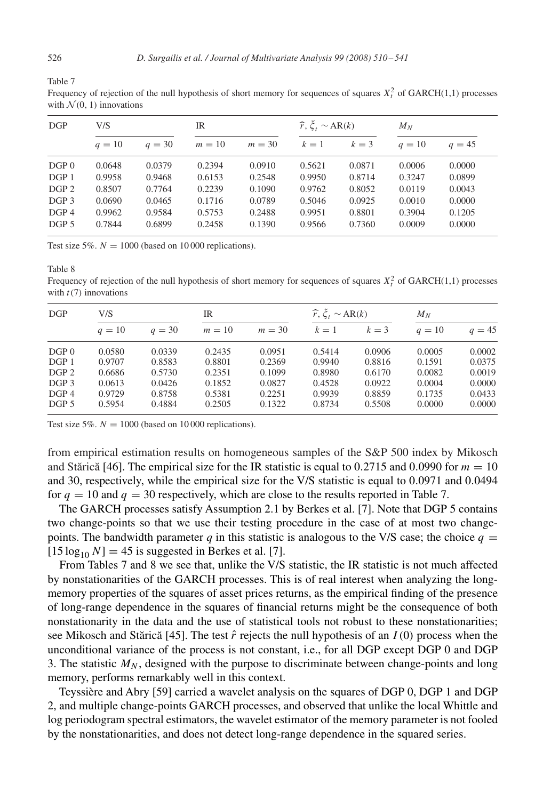|                  | with $\mathcal{N}(0, 1)$ innovations |          |        |                          |                               |        |          |          |  |  |
|------------------|--------------------------------------|----------|--------|--------------------------|-------------------------------|--------|----------|----------|--|--|
| DGP              | V/S                                  |          | IR     |                          | $\hat{r}, \xi$ , $\sim$ AR(k) |        | $M_N$    |          |  |  |
|                  | $q=10$                               | $q = 30$ | $m=10$ | $m = 30$ $k = 1$ $k = 3$ |                               |        | $q = 10$ | $a = 45$ |  |  |
| DGP <sub>0</sub> | 0.0648                               | 0.0379   | 0.2394 | 0.0910                   | 0.5621                        | 0.0871 | 0.0006   | 0.0000   |  |  |
| DGP <sub>1</sub> | 0.9958                               | 0.9468   | 0.6153 | 0.2548                   | 0.9950                        | 0.8714 | 0.3247   | 0.0899   |  |  |

DGP 2 0.8507 0.7764 0.2239 0.1090 0.9762 0.8052 0.0119 0.0043 DGP 3 0.0690 0.0465 0.1716 0.0789 0.5046 0.0925 0.0010 0.0000 DGP 4 0.9962 0.9584 0.5753 0.2488 0.9951 0.8801 0.3904 0.1205 DGP 5 0.7844 0.6899 0.2458 0.1390 0.9566 0.7360 0.0009 0.0000

Frequency of rejection of the null hypothesis of short memory for sequences of squares  $X_t^2$  of GARCH(1,1) processes

Test size 5%.  $N = 1000$  (based on 10 000 replications).

Table 8

Frequency of rejection of the null hypothesis of short memory for sequences of squares  $X_t^2$  of GARCH(1,1) processes with  $t(7)$  innovations

| DGP              | V/S      |          | IR     |          | $\hat{r}, \xi_t \sim AR(k)$ |        | $M_N$    |          |  |
|------------------|----------|----------|--------|----------|-----------------------------|--------|----------|----------|--|
|                  | $q = 10$ | $q = 30$ | $m=10$ | $m = 30$ | $k=1$                       | $k=3$  | $q = 10$ | $q = 45$ |  |
| DGP <sub>0</sub> | 0.0580   | 0.0339   | 0.2435 | 0.0951   | 0.5414                      | 0.0906 | 0.0005   | 0.0002   |  |
| DGP <sub>1</sub> | 0.9707   | 0.8583   | 0.8801 | 0.2369   | 0.9940                      | 0.8816 | 0.1591   | 0.0375   |  |
| DGP <sub>2</sub> | 0.6686   | 0.5730   | 0.2351 | 0.1099   | 0.8980                      | 0.6170 | 0.0082   | 0.0019   |  |
| DGP 3            | 0.0613   | 0.0426   | 0.1852 | 0.0827   | 0.4528                      | 0.0922 | 0.0004   | 0.0000   |  |
| DGP 4            | 0.9729   | 0.8758   | 0.5381 | 0.2251   | 0.9939                      | 0.8859 | 0.1735   | 0.0433   |  |
| DGP 5            | 0.5954   | 0.4884   | 0.2505 | 0.1322   | 0.8734                      | 0.5508 | 0.0000   | 0.0000   |  |

Test size 5%.  $N = 1000$  (based on 10000 replications).

from empirical estimation results on homogeneous samples of the S&P 500 index by Mikosch and Stărică [\[46\].](#page-31-0) The empirical size for the IR statistic is equal to 0.2715 and 0.0990 for  $m = 10$ and 30, respectively, while the empirical size for the V/S statistic is equal to 0.0971 and 0.0494 for  $q = 10$  and  $q = 30$  respectively, which are close to the results reported in Table 7.

The GARCH processes satisfy Assumption 2.1 by Berkes et al. [\[7\].](#page-29-0) Note that DGP 5 contains two change-points so that we use their testing procedure in the case of at most two changepoints. The bandwidth parameter  $q$  in this statistic is analogous to the V/S case; the choice  $q =$  $[15 \log_{10} N] = 45$  is suggested in Berkes et al. [\[7\].](#page-29-0)

From Tables 7 and 8 we see that, unlike the V/S statistic, the IR statistic is not much affected by nonstationarities of the GARCH processes. This is of real interest when analyzing the longmemory properties of the squares of asset prices returns, as the empirical finding of the presence of long-range dependence in the squares of financial returns might be the consequence of both nonstationarity in the data and the use of statistical tools not robust to these nonstationarities; see Mikosch and Stărică [\[45\].](#page-31-0) The test  $\hat{r}$  rejects the null hypothesis of an  $I(0)$  process when the unconditional variance of the process is not constant, i.e., for all DGP except DGP 0 and DGP 3. The statistic  $M_N$ , designed with the purpose to discriminate between change-points and long memory, performs remarkably well in this context.

Teyssière and Abry [\[59\]](#page-31-0) carried a wavelet analysis on the squares of DGP 0, DGP 1 and DGP 2, and multiple change-points GARCH processes, and observed that unlike the local Whittle and log periodogram spectral estimators, the wavelet estimator of the memory parameter is not fooled by the nonstationarities, and does not detect long-range dependence in the squared series.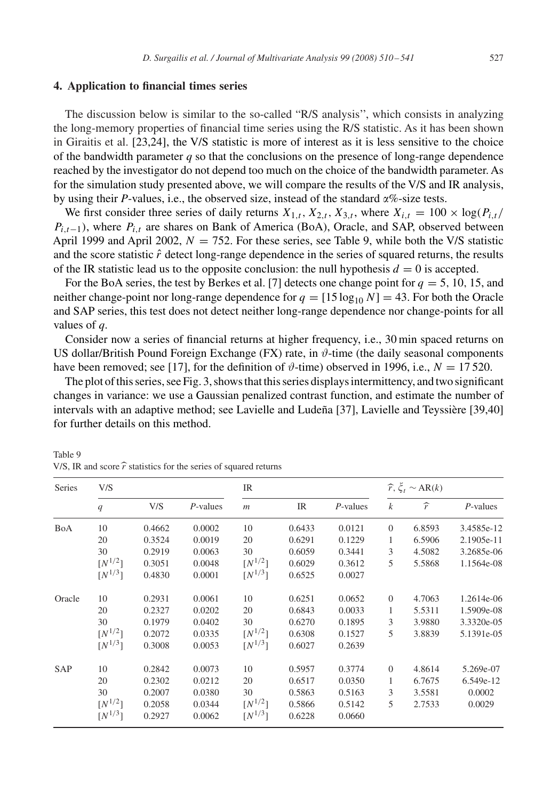## <span id="page-17-0"></span>**4. Application to financial times series**

The discussion below is similar to the so-called "R/S analysis'', which consists in analyzing the long-memory properties of financial time series using the R/S statistic. As it has been shown in Giraitis et al. [\[23,24\],](#page-30-0) the V/S statistic is more of interest as it is less sensitive to the choice of the bandwidth parameter *q* so that the conclusions on the presence of long-range dependence reached by the investigator do not depend too much on the choice of the bandwidth parameter. As for the simulation study presented above, we will compare the results of the V/S and IR analysis, by using their *P*-values, i.e., the observed size, instead of the standard  $\alpha\%$ -size tests.

We first consider three series of daily returns  $X_{1,t}$ ,  $X_{2,t}$ ,  $X_{3,t}$ , where  $X_{i,t} = 100 \times \log(P_{i,t}/P_{i,t})$  $P_{i,t-1}$ ), where  $P_{i,t}$  are shares on Bank of America (BoA), Oracle, and SAP, observed between April 1999 and April 2002,  $N = 752$ . For these series, see Table 9, while both the V/S statistic and the score statistic  $\hat{r}$  detect long-range dependence in the series of squared returns, the results of the IR statistic lead us to the opposite conclusion: the null hypothesis  $d = 0$  is accepted.

For the BoA series, the test by Berkes et al. [\[7\]](#page-29-0) detects one change point for  $q = 5$ , 10, 15, and neither change-point nor long-range dependence for  $q = [15 \log_{10} N] = 43$ . For both the Oracle and SAP series, this test does not detect neither long-range dependence nor change-points for all values of *q*.

Consider now a series of financial returns at higher frequency, i.e., 30 min spaced returns on US dollar/British Pound Foreign Exchange (FX) rate, in  $\vartheta$ -time (the daily seasonal components have been removed; see [\[17\],](#page-30-0) for the definition of  $\vartheta$ -time) observed in 1996, i.e.,  $N = 17520$ .

The plot of this series, see Fig. [3,](#page-18-0) shows that this series displays intermittency, and two significant changes in variance: we use a Gaussian penalized contrast function, and estimate the number of intervals with an adaptive method; see Lavielle and Ludeña [\[37\],](#page-30-0) Lavielle and Teyssière [\[39,40\]](#page-30-0) for further details on this method.

| Series     | V/S                     |        |             | IR          |        |             |                  | $\widehat{r}, \xi_t \sim AR(k)$ |             |
|------------|-------------------------|--------|-------------|-------------|--------|-------------|------------------|---------------------------------|-------------|
|            | q                       | V/S    | $P$ -values | $\,m$       | IR     | $P$ -values | $\boldsymbol{k}$ | $\widehat{r}$                   | $P$ -values |
| BoA        | 10                      | 0.4662 | 0.0002      | 10          | 0.6433 | 0.0121      | $\theta$         | 6.8593                          | 3.4585e-12  |
|            | 20                      | 0.3524 | 0.0019      | 20          | 0.6291 | 0.1229      | 1                | 6.5906                          | 2.1905e-11  |
|            | 30                      | 0.2919 | 0.0063      | 30          | 0.6059 | 0.3441      | 3                | 4.5082                          | 3.2685e-06  |
|            | $\lceil N^{1/2} \rceil$ | 0.3051 | 0.0048      | $[N^{1/2}]$ | 0.6029 | 0.3612      | 5                | 5.5868                          | 1.1564e-08  |
|            | $[N^{1/3}]$             | 0.4830 | 0.0001      | $[N^{1/3}]$ | 0.6525 | 0.0027      |                  |                                 |             |
| Oracle     | 10                      | 0.2931 | 0.0061      | 10          | 0.6251 | 0.0652      | $\theta$         | 4.7063                          | 1.2614e-06  |
|            | 20                      | 0.2327 | 0.0202      | 20          | 0.6843 | 0.0033      | 1                | 5.5311                          | 1.5909e-08  |
|            | 30                      | 0.1979 | 0.0402      | 30          | 0.6270 | 0.1895      | 3                | 3.9880                          | 3.3320e-05  |
|            | $\lceil N^{1/2} \rceil$ | 0.2072 | 0.0335      | $[N^{1/2}]$ | 0.6308 | 0.1527      | 5                | 3.8839                          | 5.1391e-05  |
|            | $[N^{1/3}]$             | 0.3008 | 0.0053      | $[N^{1/3}]$ | 0.6027 | 0.2639      |                  |                                 |             |
| <b>SAP</b> | 10                      | 0.2842 | 0.0073      | 10          | 0.5957 | 0.3774      | $\Omega$         | 4.8614                          | 5.269e-07   |
|            | 20                      | 0.2302 | 0.0212      | 20          | 0.6517 | 0.0350      | 1                | 6.7675                          | 6.549e-12   |
|            | 30                      | 0.2007 | 0.0380      | 30          | 0.5863 | 0.5163      | 3                | 3.5581                          | 0.0002      |
|            | $[N^{1/2}]$             | 0.2058 | 0.0344      | $[N^{1/2}]$ | 0.5866 | 0.5142      | 5                | 2.7533                          | 0.0029      |
|            | $[N^{1/3}]$             | 0.2927 | 0.0062      | $[N^{1/3}]$ | 0.6228 | 0.0660      |                  |                                 |             |

Table 9 V/S, IR and score  $\hat{r}$  statistics for the series of squared returns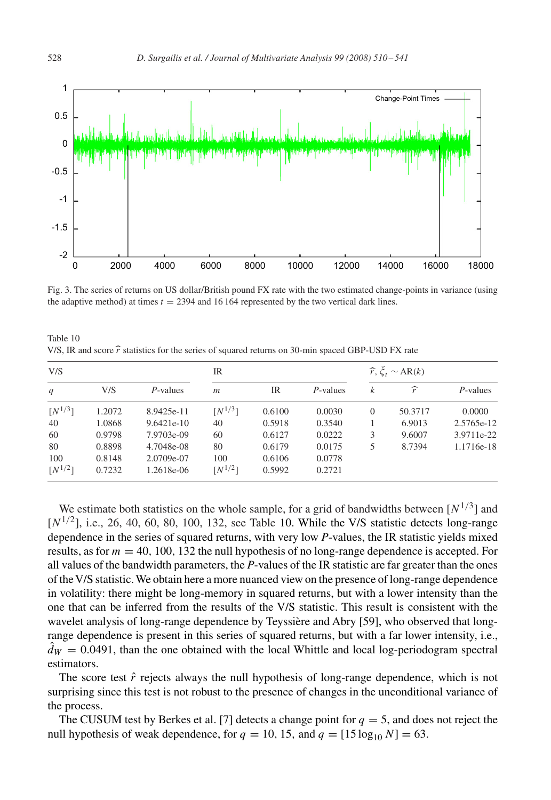<span id="page-18-0"></span>

Fig. 3. The series of returns on US dollar/British pound FX rate with the two estimated change-points in variance (using the adaptive method) at times  $t = 2394$  and 16 164 represented by the two vertical dark lines.

Table 10 V/S, IR and score  $\hat{r}$  statistics for the series of squared returns on 30-min spaced GBP-USD FX rate

| V/S         |        |              | IR             |        |             |          | $\hat{r}, \xi_t \sim AR(k)$ |             |  |
|-------------|--------|--------------|----------------|--------|-------------|----------|-----------------------------|-------------|--|
| q           | V/S    | $P$ -values  | $\mathfrak{m}$ | IR     | $P$ -values | k        | $\widehat{r}$               | $P$ -values |  |
| $[N^{1/3}]$ | 1.2072 | 8.9425e-11   | $[N^{1/3}]$    | 0.6100 | 0.0030      | $\theta$ | 50.3717                     | 0.0000      |  |
| 40          | 1.0868 | $9.6421e-10$ | 40             | 0.5918 | 0.3540      |          | 6.9013                      | 2.5765e-12  |  |
| 60          | 0.9798 | 7.9703e-09   | 60             | 0.6127 | 0.0222      | 3        | 9.6007                      | 3.9711e-22  |  |
| 80          | 0.8898 | 4.7048e-08   | 80             | 0.6179 | 0.0175      | 5        | 8.7394                      | 1.1716e-18  |  |
| 100         | 0.8148 | 2.0709e-07   | 100            | 0.6106 | 0.0778      |          |                             |             |  |
| $[N^{1/2}]$ | 0.7232 | 1.2618e-06   | $[N^{1/2}]$    | 0.5992 | 0.2721      |          |                             |             |  |

We estimate both statistics on the whole sample, for a grid of bandwidths between  $[N^{1/3}]$  and  $[N^{1/2}]$ , i.e., 26, 40, 60, 80, 100, 132, see Table 10. While the V/S statistic detects long-range dependence in the series of squared returns, with very low *P*-values, the IR statistic yields mixed results, as for  $m = 40$ , 100, 132 the null hypothesis of no long-range dependence is accepted. For all values of the bandwidth parameters, the *P*-values of the IR statistic are far greater than the ones of theV/S statistic.We obtain here a more nuanced view on the presence of long-range dependence in volatility: there might be long-memory in squared returns, but with a lower intensity than the one that can be inferred from the results of the V/S statistic. This result is consistent with the wavelet analysis of long-range dependence by Teyssière and Abry [\[59\],](#page-31-0) who observed that longrange dependence is present in this series of squared returns, but with a far lower intensity, i.e.,  $\hat{d}_W = 0.0491$ , than the one obtained with the local Whittle and local log-periodogram spectral estimators.

The score test  $\hat{r}$  rejects always the null hypothesis of long-range dependence, which is not surprising since this test is not robust to the presence of changes in the unconditional variance of the process.

The CUSUM test by Berkes et al. [\[7\]](#page-29-0) detects a change point for  $q = 5$ , and does not reject the null hypothesis of weak dependence, for  $q = 10, 15$ , and  $q = [15 \log_{10} N] = 63$ .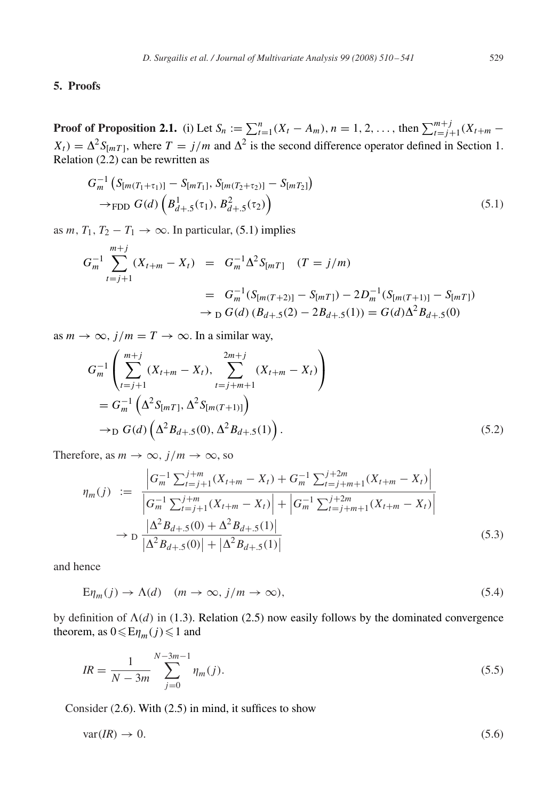# <span id="page-19-0"></span>**5. Proofs**

**Proof of Proposition [2.1.](#page-5-0)** (i) Let  $S_n := \sum_{t=1}^n (X_t - A_m)$ ,  $n = 1, 2, ...,$  then  $\sum_{t=j+1}^{m+j} (X_{t+m} - A_m)$  $X_t$ ) =  $\Delta^2 S_{[mT]}$ , where  $T = j/m$  and  $\Delta^2$  is the second difference operator defined in Section [1.](#page-1-0) Relation [\(2.2\)](#page-4-0) can be rewritten as

$$
G_m^{-1} \left( S_{[m(T_1 + \tau_1)]} - S_{[mT_1]}, S_{[m(T_2 + \tau_2)]} - S_{[mT_2]} \right) \n\to
$$
 FDD  $G(d) \left( B_{d+.5}^1(\tau_1), B_{d+.5}^2(\tau_2) \right)$  (5.1)

as *m*,  $T_1$ ,  $T_2 - T_1 \rightarrow \infty$ . In particular, (5.1) implies

$$
G_m^{-1} \sum_{t=j+1}^{m+j} (X_{t+m} - X_t) = G_m^{-1} \Delta^2 S_{[mT]} \quad (T = j/m)
$$
  
= 
$$
G_m^{-1} (S_{[m(T+2)]} - S_{[mT]}) - 2D_m^{-1} (S_{[m(T+1)]} - S_{[mT]})
$$
  

$$
\rightarrow_D G(d) (B_{d+.5}(2) - 2B_{d+.5}(1)) = G(d) \Delta^2 B_{d+.5}(0)
$$

as  $m \to \infty$ ,  $j/m = T \to \infty$ . In a similar way,

$$
G_m^{-1}\left(\sum_{t=j+1}^{m+j} (X_{t+m} - X_t), \sum_{t=j+m+1}^{2m+j} (X_{t+m} - X_t)\right)
$$
  
=  $G_m^{-1}\left(\Delta^2 S_{[mT]}, \Delta^2 S_{[m(T+1)]}\right)$   
 $\rightarrow_D G(d)\left(\Delta^2 B_{d+.5}(0), \Delta^2 B_{d+.5}(1)\right).$  (5.2)

Therefore, as  $m \to \infty$ ,  $j/m \to \infty$ , so

$$
\eta_m(j) := \frac{\left| G_m^{-1} \sum_{t=j+1}^{j+m} (X_{t+m} - X_t) + G_m^{-1} \sum_{t=j+m+1}^{j+2m} (X_{t+m} - X_t) \right|}{\left| G_m^{-1} \sum_{t=j+1}^{j+m} (X_{t+m} - X_t) \right| + \left| G_m^{-1} \sum_{t=j+m+1}^{j+2m} (X_{t+m} - X_t) \right|}
$$
\n
$$
\to D \frac{\left| \Delta^2 B_{d+.5}(0) + \Delta^2 B_{d+.5}(1) \right|}{\left| \Delta^2 B_{d+.5}(0) \right| + \left| \Delta^2 B_{d+.5}(1) \right|}
$$
\n(5.3)

and hence

$$
E\eta_m(j) \to \Lambda(d) \quad (m \to \infty, j/m \to \infty), \tag{5.4}
$$

by definition of  $\Lambda(d)$  in [\(1.3\)](#page-1-0). Relation [\(2.5\)](#page-5-0) now easily follows by the dominated convergence theorem, as  $0 \leqslant E \eta_m(j) \leqslant 1$  and

$$
IR = \frac{1}{N - 3m} \sum_{j=0}^{N - 3m - 1} \eta_m(j).
$$
\n(5.5)

Consider [\(2.6\)](#page-5-0). With [\(2.5\)](#page-5-0) in mind, it suffices to show

$$
var(R) \to 0. \tag{5.6}
$$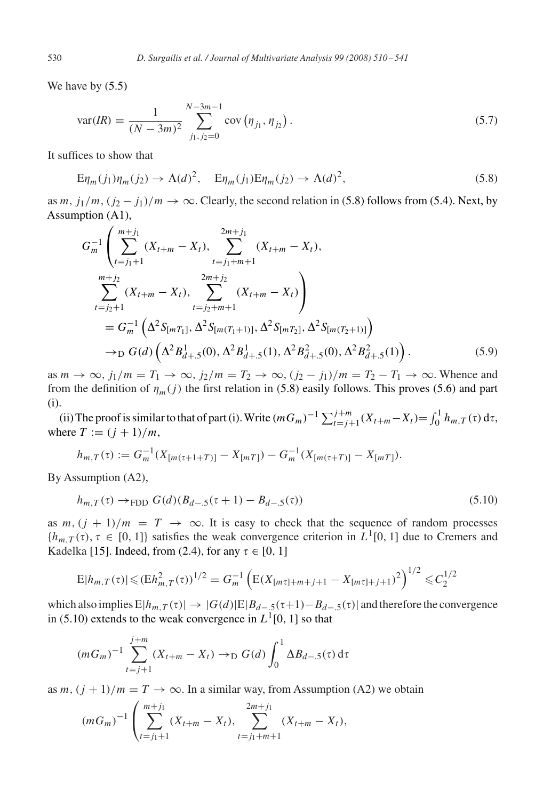We have by [\(5.5\)](#page-19-0)

$$
var(R) = \frac{1}{(N - 3m)^2} \sum_{j_1, j_2 = 0}^{N - 3m - 1} cov(\eta_{j_1}, \eta_{j_2}).
$$
\n(5.7)

It suffices to show that

$$
E\eta_m(j_1)\eta_m(j_2) \to \Lambda(d)^2, \quad E\eta_m(j_1)E\eta_m(j_2) \to \Lambda(d)^2,\tag{5.8}
$$

as m,  $j_1/m$ ,  $(j_2 - j_1)/m \rightarrow \infty$ . Clearly, the second relation in (5.8) follows from [\(5.4\)](#page-19-0). Next, by Assumption (A1),

$$
G_m^{-1} \left( \sum_{t=j_1+1}^{m+j_1} (X_{t+m} - X_t), \sum_{t=j_1+m+1}^{2m+j_1} (X_{t+m} - X_t), \right)
$$
  

$$
\sum_{t=j_2+1}^{m+j_2} (X_{t+m} - X_t), \sum_{t=j_2+m+1}^{2m+j_2} (X_{t+m} - X_t) \right)
$$
  

$$
= G_m^{-1} \left( \Delta^2 S_{[mT_1]}, \Delta^2 S_{[m(T_1+1)]}, \Delta^2 S_{[mT_2]}, \Delta^2 S_{[m(T_2+1)]} \right)
$$
  

$$
\rightarrow_D G(d) \left( \Delta^2 B_{d+.5}^1(0), \Delta^2 B_{d+.5}^1(1), \Delta^2 B_{d+.5}^2(0), \Delta^2 B_{d+.5}^2(1) \right).
$$
 (5.9)

as  $m \to \infty$ ,  $j_1/m = T_1 \to \infty$ ,  $j_2/m = T_2 \to \infty$ ,  $(j_2 - j_1)/m = T_2 - T_1 \to \infty$ . Whence and from the definition of  $\eta_m(j)$  the first relation in (5.8) easily follows. This proves [\(5.6\)](#page-19-0) and part (i).

(ii) The proof is similar to that of part (i). Write  $(mG_m)^{-1} \sum_{t=j+1}^{j+m} (X_{t+m}-X_t) = \int_0^1 h_{m,T}(\tau) d\tau$ , where  $T := (j + 1)/m$ ,

$$
h_{m,T}(\tau) := G_m^{-1}(X_{[m(\tau+1+T)]} - X_{[mT]}) - G_m^{-1}(X_{[m(\tau+T)]} - X_{[mT]}).
$$

By Assumption (A2),

$$
h_{m,T}(\tau) \to_{\text{FDD}} G(d)(B_{d-5}(\tau+1) - B_{d-5}(\tau))
$$
\n(5.10)

as m,  $(j + 1)/m = T \rightarrow \infty$ . It is easy to check that the sequence of random processes  ${h_{m,T}(\tau), \tau \in [0, 1]}$  satisfies the weak convergence criterion in  $L^1[0, 1]$  due to Cremers and Kadelka [\[15\].](#page-30-0) Indeed, from [\(2.4\)](#page-5-0), for any  $\tau \in [0, 1]$ 

$$
E|h_{m,T}(\tau)| \leqslant (Eh_{m,T}^2(\tau))^{1/2} = G_m^{-1} \left( E(X_{[m\tau]+m+j+1} - X_{[m\tau]+j+1})^2 \right)^{1/2} \leqslant C_2^{1/2}
$$

which also implies  $E|h_{m,T}(\tau)| \to |G(d)|E|B_{d-5}(\tau+1)-B_{d-5}(\tau)|$  and therefore the convergence in (5.10) extends to the weak convergence in  $L^1[0, 1]$  so that

$$
(mG_m)^{-1} \sum_{t=j+1}^{j+m} (X_{t+m} - X_t) \to_D G(d) \int_0^1 \Delta B_{d-5}(\tau) d\tau
$$

as  $m$ ,  $(j + 1)/m = T \rightarrow \infty$ . In a similar way, from Assumption (A2) we obtain

$$
(mG_m)^{-1} \left( \sum_{t=j_1+1}^{m+j_1} (X_{t+m} - X_t), \sum_{t=j_1+m+1}^{2m+j_1} (X_{t+m} - X_t), \right)
$$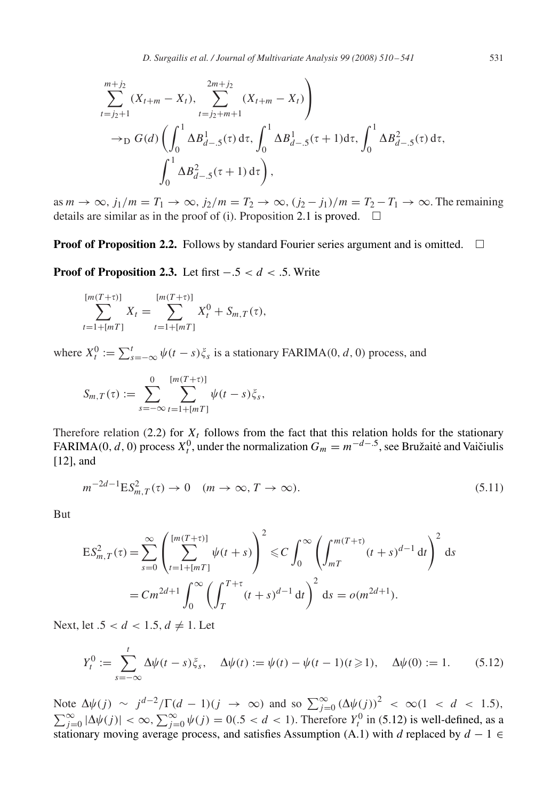<span id="page-21-0"></span>
$$
\sum_{t=j_2+1}^{m+j_2} (X_{t+m} - X_t), \sum_{t=j_2+m+1}^{2m+j_2} (X_{t+m} - X_t) \Biggr)
$$
  
\n
$$
\rightarrow_D G(d) \left( \int_0^1 \Delta B_{d-5}^1(\tau) d\tau, \int_0^1 \Delta B_{d-5}^1(\tau+1) d\tau, \int_0^1 \Delta B_{d-5}^2(\tau) d\tau, \int_0^1 \Delta B_{d-5}^2(\tau+1) d\tau \right),
$$

as  $m \to \infty$ ,  $j_1/m = T_1 \to \infty$ ,  $j_2/m = T_2 \to \infty$ ,  $(j_2 - j_1)/m = T_2 - T_1 \to \infty$ . The remaining details are similar as in the proof of (i). Proposition [2.1](#page-5-0) is proved.  $\square$ 

**Proof of Proposition [2.2.](#page-5-0)** Follows by standard Fourier series argument and is omitted.  $\Box$ 

**Proof of Proposition [2.3.](#page-6-0)** Let first  $-.5 < d < .5$ . Write

$$
\sum_{t=1+[mT]}^{[m(T+\tau)]} X_t = \sum_{t=1+[mT]}^{[m(T+\tau)]} X_t^0 + S_{m,T}(\tau),
$$

where  $X_t^0 := \sum_{s=-\infty}^t \psi(t-s)\xi_s$  is a stationary FARIMA(0, d, 0) process, and

$$
S_{m,T}(\tau) := \sum_{s=-\infty}^0 \sum_{t=1+[mT]}^{[m(T+\tau)]} \psi(t-s)\xi_s,
$$

Therefore relation [\(2.2\)](#page-4-0) for  $X_t$  follows from the fact that this relation holds for the stationary FARIMA(0, d, 0) process  $X_t^0$ , under the normalization  $G_m = m^{-d-5}$ , see Bružaitė and Vaičiulis [\[12\],](#page-30-0) and

$$
m^{-2d-1} \mathcal{E} S_{m,T}^2(\tau) \to 0 \quad (m \to \infty, T \to \infty). \tag{5.11}
$$

But

$$
\begin{split} \mathsf{E}S_{m,T}^{2}(\tau) &= \sum_{s=0}^{\infty} \left( \sum_{t=1+\lfloor mT \rfloor}^{\lfloor m(T+\tau) \rfloor} \psi(t+s) \right)^{2} \leq C \int_{0}^{\infty} \left( \int_{mT}^{m(T+\tau)} (t+s)^{d-1} \, \mathrm{d}t \right)^{2} \, \mathrm{d}s \\ &= C m^{2d+1} \int_{0}^{\infty} \left( \int_{T}^{T+\tau} (t+s)^{d-1} \, \mathrm{d}t \right)^{2} \, \mathrm{d}s = o(m^{2d+1}). \end{split}
$$

Next, let  $.5 < d < 1.5, d \neq 1$ . Let

$$
Y_t^0 := \sum_{s=-\infty}^t \Delta \psi(t-s) \xi_s, \quad \Delta \psi(t) := \psi(t) - \psi(t-1)(t \ge 1), \quad \Delta \psi(0) := 1. \tag{5.12}
$$

Note  $\Delta \psi(j) \sim j^{d-2}/\Gamma(d-1)(j \to \infty)$  and so  $\sum_{j=0}^{\infty} (\Delta \psi(j))^2 < \infty(1 < d < 1.5)$ ,  $\sum_{j=0}^{\infty} |\Delta \psi(j)| < \infty$ ,  $\sum_{j=0}^{\infty} \psi(j) = 0$  (.5 < d < 1). Therefore  $Y_t^0$  in (5.12) is well-defined, as a stationary moving average process, and satisfies Assumption (A.1) with *d* replaced by  $d - 1 \in$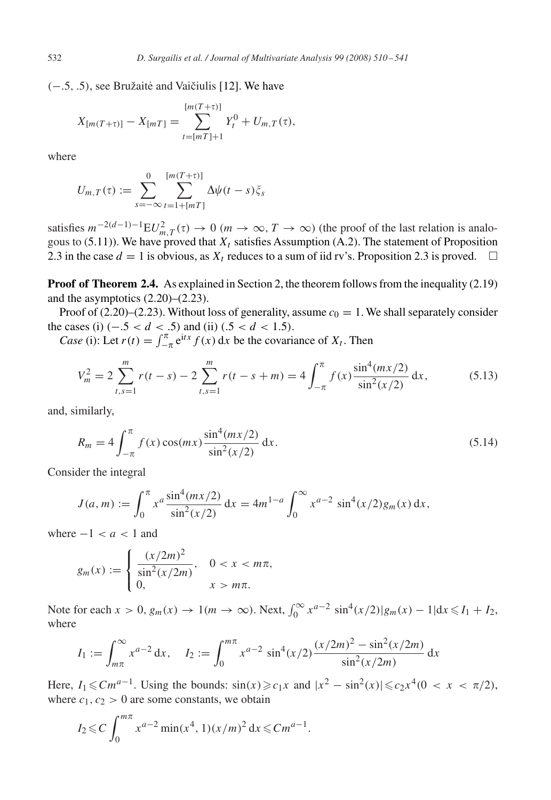<span id="page-22-0"></span> $(-.5, .5)$ , see Bružaitė and Vaičiulis [\[12\].](#page-30-0) We have

$$
X_{[m(T+\tau)]} - X_{[mT]} = \sum_{t=[mT]+1}^{[m(T+\tau)]} Y_t^0 + U_{m,T}(\tau),
$$

where

$$
U_{m,T}(\tau) := \sum_{s=-\infty}^{0} \sum_{t=1+[mT]}^{[m(T+\tau)]} \Delta \psi(t-s) \zeta_s
$$

satisfies  $m^{-2(d-1)-1}EU_{m,T}^2(\tau) \to 0$   $(m \to \infty, T \to \infty)$  (the proof of the last relation is analo-gous to [\(5.11\)](#page-21-0)). We have proved that  $X_t$  satisfies Assumption (A.2). The statement of Proposition 2.3 in the case  $d = 1$  is obvious, as  $X_t$  reduces to a sum of iid rv's. Proposition 2.3 is proved.  $\Box$ 

**Proof of Theorem [2.4.](#page-6-0)** As explained in Section [2,](#page-4-0) the theorem follows from the inequality [\(2.19\)](#page-7-0) and the asymptotics [\(2.20\)](#page-7-0)–[\(2.23\)](#page-7-0).

Proof of [\(2.20\)](#page-7-0)–[\(2.23\)](#page-7-0). Without loss of generality, assume  $c_0 = 1$ . We shall separately consider the cases (i)  $(-.5 < d < .5)$  and (ii)  $(.5 < d < 1.5)$ .

*Case* (i): Let  $r(t) = \int_{-\pi}^{\pi} e^{itx} f(x) dx$  be the covariance of  $X_t$ . Then

$$
V_m^2 = 2 \sum_{t,s=1}^m r(t-s) - 2 \sum_{t,s=1}^m r(t-s+m) = 4 \int_{-\pi}^{\pi} f(x) \frac{\sin^4(mx/2)}{\sin^2(x/2)} dx,
$$
 (5.13)

and, similarly,

$$
R_m = 4 \int_{-\pi}^{\pi} f(x) \cos(mx) \frac{\sin^4(mx/2)}{\sin^2(x/2)} dx.
$$
 (5.14)

Consider the integral

$$
J(a,m) := \int_0^{\pi} x^a \frac{\sin^4(mx/2)}{\sin^2(x/2)} dx = 4m^{1-a} \int_0^{\infty} x^{a-2} \sin^4(x/2) g_m(x) dx,
$$

where  $-1 < a < 1$  and

$$
g_m(x) := \begin{cases} \frac{(x/2m)^2}{\sin^2(x/2m)}, & 0 < x < m\pi, \\ 0, & x > m\pi. \end{cases}
$$

Note for each  $x > 0$ ,  $g_m(x) \to 1(m \to \infty)$ . Next,  $\int_0^\infty x^{a-2} \sin^4(x/2) |g_m(x) - 1| dx \le I_1 + I_2$ , where

$$
I_1 := \int_{m\pi}^{\infty} x^{a-2} dx, \quad I_2 := \int_0^{m\pi} x^{a-2} \sin^4(x/2) \frac{(x/2m)^2 - \sin^2(x/2m)}{\sin^2(x/2m)} dx
$$

Here,  $I_1 \leq C m^{a-1}$ . Using the bounds:  $\sin(x) \geq c_1 x$  and  $|x^2 - \sin^2(x)| \leq c_2 x^4 (0 < x < \pi/2)$ , where  $c_1$ ,  $c_2 > 0$  are some constants, we obtain

$$
I_2 \leqslant C \int_0^{m\pi} x^{a-2} \min(x^4, 1)(x/m)^2 dx \leqslant C m^{a-1}.
$$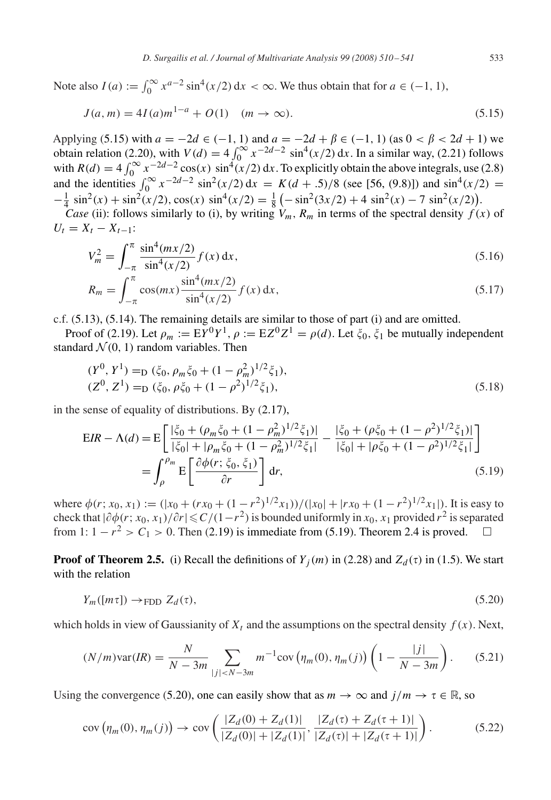<span id="page-23-0"></span>Note also  $I(a) := \int_0^\infty x^{a-2} \sin^4(x/2) dx < \infty$ . We thus obtain that for  $a \in (-1, 1)$ ,

$$
J(a,m) = 4I(a)m^{1-a} + O(1) \quad (m \to \infty).
$$
 (5.15)

Applying (5.15) with  $a = -2d \in (-1, 1)$  and  $a = -2d + \beta \in (-1, 1)$  (as  $0 < \beta < 2d + 1$ ) we obtain relation [\(2.20\)](#page-7-0), with  $V(d) = 4 \int_0^{\infty} x^{-2d-2} \sin^4(x/2) dx$ . In a similar way, [\(2.21\)](#page-7-0) follows with  $R(d) = 4 \int_0^\infty x^{-2d-2} \cos(x) \sin^4(x/2) dx$ . To explicitly obtain the above integrals, use [\(2.8\)](#page-5-0) and the identities  $\int_0^\infty x^{-2d-2} \sin^2(x/2) dx = K(d+3)/8$  (see [\[56, \(9.8\)\]\)](#page-31-0) and  $\sin^4(x/2) =$  $-\frac{1}{4}\sin^2(x) + \sin^2(x/2), \cos(x)\sin^4(x/2) = \frac{1}{8} \left(-\sin^2(3x/2) + 4\sin^2(x) - 7\sin^2(x/2)\right).$ 

*Case* (ii): follows similarly to (i), by writing  $V_m$ ,  $R_m$  in terms of the spectral density  $f(x)$  of  $U_t = X_t - X_{t-1}$ :

$$
V_m^2 = \int_{-\pi}^{\pi} \frac{\sin^4(mx/2)}{\sin^4(x/2)} f(x) \, \mathrm{d}x,\tag{5.16}
$$

$$
R_m = \int_{-\pi}^{\pi} \cos(mx) \frac{\sin^4(mx/2)}{\sin^4(x/2)} f(x) \, dx,\tag{5.17}
$$

c.f. [\(5.13\)](#page-22-0), [\(5.14\)](#page-22-0). The remaining details are similar to those of part (i) and are omitted.

Proof of [\(2.19\)](#page-7-0). Let  $\rho_m := EY^0Y^1$ ,  $\rho := EZ^0Z^1 = \rho(d)$ . Let  $\xi_0$ ,  $\xi_1$  be mutually independent standard  $\mathcal{N}(0, 1)$  random variables. Then

$$
(Y0, Y1) =D (\xi_0, \rho_m \xi_0 + (1 - \rho_m^2)^{1/2} \xi_1),(Z0, Z1) =D (\xi_0, \rho \xi_0 + (1 - \rho^2)^{1/2} \xi_1),
$$
\n(5.18)

in the sense of equality of distributions. By [\(2.17\)](#page-7-0),

$$
EIR - \Lambda(d) = E \left[ \frac{|\xi_0 + (\rho_m \xi_0 + (1 - \rho_m^2)^{1/2} \xi_1)|}{|\xi_0| + |\rho_m \xi_0 + (1 - \rho_m^2)^{1/2} \xi_1|} - \frac{|\xi_0 + (\rho \xi_0 + (1 - \rho^2)^{1/2} \xi_1)|}{|\xi_0| + |\rho \xi_0 + (1 - \rho^2)^{1/2} \xi_1|} \right]
$$
  
= 
$$
\int_{\rho}^{\rho_m} E \left[ \frac{\partial \phi(r; \xi_0, \xi_1)}{\partial r} \right] dr,
$$
 (5.19)

where  $\phi(r; x_0, x_1) := (|x_0 + (rx_0 + (1 - r^2)^{1/2}x_1)) / (|x_0| + |rx_0 + (1 - r^2)^{1/2}x_1|)$ . It is easy to check that  $|\partial \phi(r; x_0, x_1)/\partial r| \leqslant C/(1-r^2)$  is bounded uniformly in  $x_0, x_1$  provided  $r^2$  is separated from 1:  $1 - r^2 > C_1 > 0$ . Then [\(2.19\)](#page-7-0) is immediate from (5.19). Theorem [2.4](#page-6-0) is proved.  $\square$ 

**Proof of Theorem 2.5.** (i) Recall the definitions of  $Y_i(m)$  in [\(2.28\)](#page-8-0) and  $Z_d(\tau)$  in [\(1.5\)](#page-1-0). We start with the relation

$$
Y_m([m\tau]) \to \text{FDD } Z_d(\tau),\tag{5.20}
$$

which holds in view of Gaussianity of  $X_t$  and the assumptions on the spectral density  $f(x)$ . Next,

$$
(N/m)\text{var}(IR) = \frac{N}{N-3m} \sum_{|j| < N-3m} m^{-1} \text{cov}\left(\eta_m(0), \eta_m(j)\right) \left(1 - \frac{|j|}{N-3m}\right). \tag{5.21}
$$

Using the convergence (5.20), one can easily show that as  $m \to \infty$  and  $j/m \to \tau \in \mathbb{R}$ , so

$$
cov(\eta_m(0), \eta_m(j)) \to cov\left(\frac{|Z_d(0) + Z_d(1)|}{|Z_d(0)| + |Z_d(1)|}, \frac{|Z_d(\tau) + Z_d(\tau + 1)|}{|Z_d(\tau)| + |Z_d(\tau + 1)|}\right).
$$
(5.22)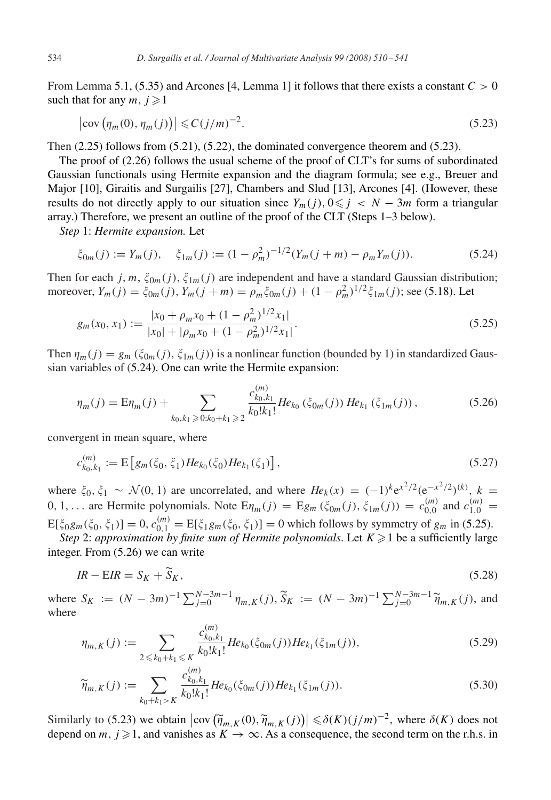<span id="page-24-0"></span>From Lemma [5.1,](#page-25-0) [\(5.35\)](#page-25-0) and Arcones [\[4, Lemma 1\]](#page-29-0) it follows that there exists a constant  $C > 0$ such that for any  $m, j \geq 1$ 

$$
\left|\operatorname{cov}\left(\eta_m(0),\eta_m(j)\right)\right| \leqslant C\left(j/m\right)^{-2}.\tag{5.23}
$$

Then  $(2.25)$  follows from  $(5.21)$ ,  $(5.22)$ , the dominated convergence theorem and  $(5.23)$ .

The proof of [\(2.26\)](#page-8-0) follows the usual scheme of the proof of CLT's for sums of subordinated Gaussian functionals using Hermite expansion and the diagram formula; see e.g., Breuer and Major [\[10\],](#page-29-0) Giraitis and Surgailis [\[27\],](#page-30-0) Chambers and Slud [\[13\],](#page-30-0) Arcones [\[4\].](#page-29-0) (However, these results do not directly apply to our situation since  $Y_m(j)$ ,  $0 \leq j \leq N-3m$  form a triangular array.) Therefore, we present an outline of the proof of the CLT (Steps 1–3 below).

*Step* 1: *Hermite expansion.* Let

$$
\xi_{0m}(j) := Y_m(j), \quad \xi_{1m}(j) := (1 - \rho_m^2)^{-1/2} (Y_m(j+m) - \rho_m Y_m(j)). \tag{5.24}
$$

Then for each j, m,  $\xi_{0m}(j)$ ,  $\xi_{1m}(j)$  are independent and have a standard Gaussian distribution; moreover,  $Y_m(j) = \xi_{0m}(j)$ ,  $Y_m(j+m) = \rho_m \xi_{0m}(j) + (1 - \rho_m^2)^{1/2} \xi_{1m}(j)$ ; see [\(5.18\)](#page-23-0). Let

$$
g_m(x_0, x_1) := \frac{|x_0 + \rho_m x_0 + (1 - \rho_m^2)^{1/2} x_1|}{|x_0| + |\rho_m x_0 + (1 - \rho_m^2)^{1/2} x_1|}.
$$
\n(5.25)

Then  $\eta_m(j) = g_m(\xi_{0m}(j), \xi_{1m}(j))$  is a nonlinear function (bounded by 1) in standardized Gaussian variables of (5.24). One can write the Hermite expansion:

$$
\eta_m(j) = \mathbb{E}\eta_m(j) + \sum_{k_0, k_1 \geqslant 0: k_0 + k_1 \geqslant 2} \frac{c_{k_0, k_1}^{(m)}}{k_0! k_1!} H e_{k_0} \left( \xi_{0m}(j) \right) H e_{k_1} \left( \xi_{1m}(j) \right), \tag{5.26}
$$

convergent in mean square, where

$$
c_{k_0,k_1}^{(m)} := \mathcal{E}\left[g_m(\xi_0,\xi_1)He_{k_0}(\xi_0)He_{k_1}(\xi_1)\right],\tag{5.27}
$$

where  $\xi_0, \xi_1 \sim \mathcal{N}(0, 1)$  are uncorrelated, and where  $He_k(x) = (-1)^k e^{x^2/2} (e^{-x^2/2})^{(k)}$ ,  $k =$ 0, 1,... are Hermite polynomials. Note  $E_{\eta_m}(j) = E_{g_m}(\xi_{0m}(j), \xi_{1m}(j)) = c_{0,0}^{(m)}$  and  $c_{1,0}^{(m)} =$  $E[\xi_0 g_m(\xi_0, \xi_1)] = 0, c_{0,1}^{(m)} = E[\xi_1 g_m(\xi_0, \xi_1)] = 0$  which follows by symmetry of  $g_m$  in (5.25).

*Step* 2: *approximation by finite sum of Hermite polynomials.* Let  $K \geq 1$  be a sufficiently large integer. From (5.26) we can write

$$
IR - EIR = S_K + \tilde{S}_K, \tag{5.28}
$$

where  $S_K := (N - 3m)^{-1} \sum_{j=0}^{N-3m-1} \eta_{m,K}(j)$ ,  $\widetilde{S}_K := (N - 3m)^{-1} \sum_{j=0}^{N-3m-1} \widetilde{\eta}_{m,K}(j)$ , and where

$$
\eta_{m,K}(j) := \sum_{2 \leq k_0 + k_1 \leq K} \frac{c_{k_0, k_1}^{(m)}}{k_0! k_1!} H e_{k_0}(\xi_{0m}(j)) H e_{k_1}(\xi_{1m}(j)),\tag{5.29}
$$

$$
\widetilde{\eta}_{m,K}(j) := \sum_{k_0 + k_1 > K} \frac{c_{k_0, k_1}^{(m)}}{k_0! k_1!} H e_{k_0}(\xi_{0m}(j)) H e_{k_1}(\xi_{1m}(j)).
$$
\n(5.30)

Similarly to (5.23) we obtain  $|\text{cov}(\tilde{\eta}_{m,K}(0), \tilde{\eta}_{m,K}(j))| \leq \delta(K)(j/m)^{-2}$ , where  $\delta(K)$  does not denend on  $m, j \geq 1$  and vanishes as  $K \to \infty$ . As a consequence, the second term on the r.h.s. in depend on m,  $j \ge 1$ , and vanishes as  $K \to \infty$ . As a consequence, the second term on the r.h.s. in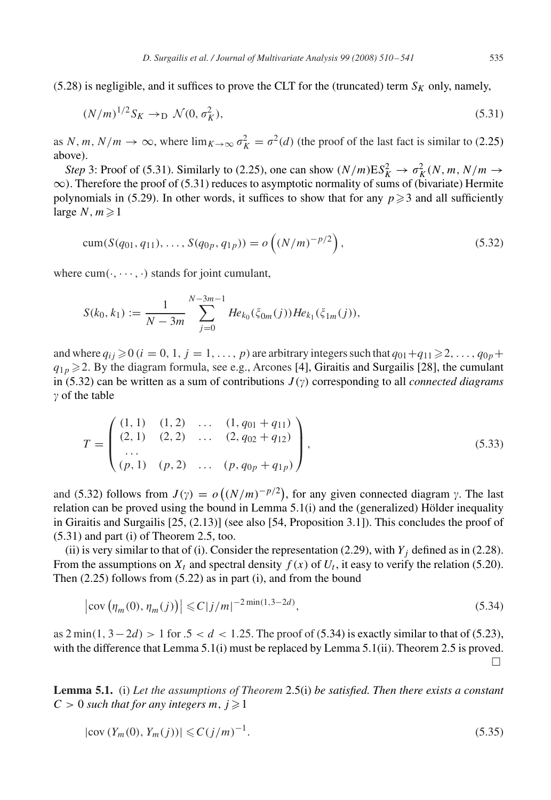<span id="page-25-0"></span>[\(5.28\)](#page-24-0) is negligible, and it suffices to prove the CLT for the (truncated) term  $S_K$  only, namely,

$$
(N/m)^{1/2} S_K \to_D \mathcal{N}(0, \sigma_K^2), \tag{5.31}
$$

as N, m,  $N/m \to \infty$ , where  $\lim_{K \to \infty} \sigma_K^2 = \sigma^2(d)$  (the proof of the last fact is similar to [\(2.25\)](#page-7-0) above).

*Step* 3: Proof of (5.31). Similarly to [\(2.25\)](#page-7-0), one can show  $(N/m)ES_K^2 \to \sigma_K^2(N, m, N/m \to$  $\infty$ ). Therefore the proof of (5.31) reduces to asymptotic normality of sums of (bivariate) Hermite polynomials in [\(5.29\)](#page-24-0). In other words, it suffices to show that for any  $p \ge 3$  and all sufficiently large  $N, m \geq 1$ 

$$
cum(S(q_{01}, q_{11}), \dots, S(q_{0p}, q_{1p})) = o\left((N/m)^{-p/2}\right), \tag{5.32}
$$

where  $cum(\cdot, \dots, \cdot)$  stands for joint cumulant,

$$
S(k_0, k_1) := \frac{1}{N - 3m} \sum_{j=0}^{N - 3m - 1} He_{k_0}(\xi_{0m}(j)) He_{k_1}(\xi_{1m}(j)),
$$

and where  $q_{ij} \geq 0$  ( $i = 0, 1, j = 1, \ldots, p$ ) are arbitrary integers such that  $q_{01} + q_{11} \geq 2, \ldots, q_{0p} +$  $q_{1p} \ge 2$ . By the diagram formula, see e.g., Arcones [\[4\],](#page-29-0) Giraitis and Surgailis [\[28\],](#page-30-0) the cumulant in (5.32) can be written as a sum of contributions  $J(\gamma)$  corresponding to all *connected diagrams*  $\gamma$  of the table

$$
T = \begin{pmatrix} (1, 1) & (1, 2) & \dots & (1, q_{01} + q_{11}) \\ (2, 1) & (2, 2) & \dots & (2, q_{02} + q_{12}) \\ \dots & \dots & \dots & \dots & (p, q_{0p} + q_{1p}) \end{pmatrix},
$$
(5.33)

and (5.32) follows from  $J(\gamma) = o((N/m)^{-p/2})$ , for any given connected diagram  $\gamma$ . The last relation can be proved using the bound in Lemma  $5.1(i)$  and the (generalized) Hölder inequality in Giraitis and Surgailis [\[25, \(2.13\)\]](#page-30-0) (see also [\[54, Proposition 3.1\]\)](#page-31-0). This concludes the proof of (5.31) and part (i) of Theorem [2.5,](#page-7-0) too.

(ii) is very similar to that of (i). Consider the representation [\(2.29\)](#page-8-0), with  $Y_j$  defined as in [\(2.28\)](#page-8-0). From the assumptions on  $X_t$  and spectral density  $f(x)$  of  $U_t$ , it easy to verify the relation [\(5.20\)](#page-23-0). Then [\(2.25\)](#page-7-0) follows from [\(5.22\)](#page-23-0) as in part (i), and from the bound

$$
\left|\text{cov}\left(\eta_m(0), \eta_m(j)\right)\right| \leq C|j/m|^{-2\min(1, 3-2d)},\tag{5.34}
$$

as  $2 \min(1, 3-2d) > 1$  for  $0.5 < d < 1.25$ . The proof of (5.34) is exactly similar to that of [\(5.23\)](#page-24-0), with the difference that Lemma 5.1(i) must be replaced by Lemma 5.1(ii). Theorem [2.5](#page-7-0) is proved.  $\Box$ 

**Lemma 5.1.** (i) *Let the assumptions of Theorem* [2.5\(](#page-7-0)i) *be satisfied. Then there exists a constant*  $C > 0$  such that for any integers m,  $j \geq 1$ 

$$
|\text{cov}(Y_m(0), Y_m(j))| \leqslant C(j/m)^{-1}.
$$
\n(5.35)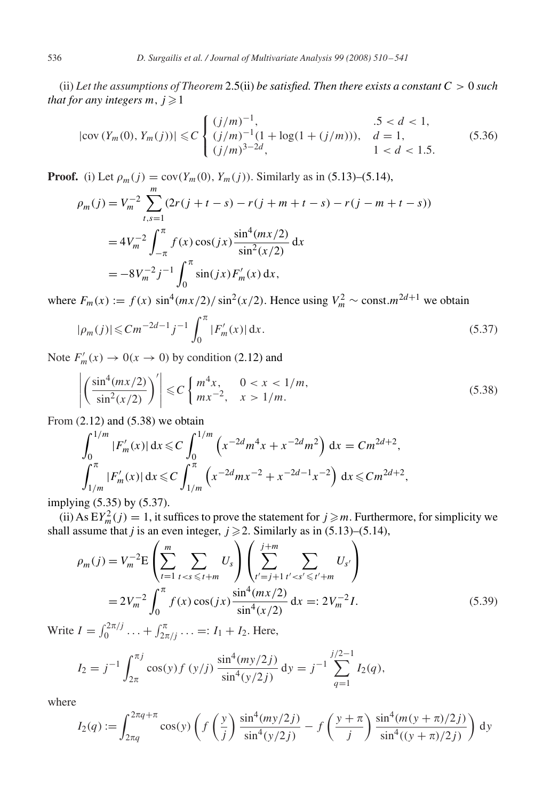<span id="page-26-0"></span>(ii) *Let the assumptions of Theorem* [2.5\(](#page-7-0)ii) *be satisfied. Then there exists a constant* C > 0 *such that for any integers m,*  $j \geq 1$ 

$$
|\text{cov}(Y_m(0), Y_m(j))| \le C \begin{cases} (j/m)^{-1}, & .5 < d < 1, \\ (j/m)^{-1}(1 + \log(1 + (j/m))), & d = 1, \\ (j/m)^{3-2d}, & 1 < d < 1.5. \end{cases}
$$
(5.36)

**Proof.** (i) Let  $\rho_m(j) = \text{cov}(Y_m(0), Y_m(j))$ . Similarly as in [\(5.13\)](#page-22-0)–[\(5.14\)](#page-22-0),

$$
\rho_m(j) = V_m^{-2} \sum_{t,s=1}^m (2r(j+t-s) - r(j+m+t-s) - r(j-m+t-s))
$$
  
= 
$$
4V_m^{-2} \int_{-\pi}^{\pi} f(x) \cos(jx) \frac{\sin^4(mx/2)}{\sin^2(x/2)} dx
$$
  
= 
$$
-8V_m^{-2} j^{-1} \int_0^{\pi} \sin(jx) F'_m(x) dx,
$$

where  $F_m(x) := f(x) \sin^4(mx/2)/\sin^2(x/2)$ . Hence using  $V_m^2 \sim \text{const.} m^{2d+1}$  we obtain

$$
|\rho_m(j)| \leq C m^{-2d-1} j^{-1} \int_0^\pi |F'_m(x)| \, \mathrm{d}x. \tag{5.37}
$$

Note  $F'_m(x) \to 0(x \to 0)$  by condition [\(2.12\)](#page-6-0) and

$$
\left| \left( \frac{\sin^4(mx/2)}{\sin^2(x/2)} \right)' \right| \leq C \left\{ \frac{m^4x}{mx^{-2}}, \quad \frac{0 < x < 1/m}{x > 1/m}. \right. \tag{5.38}
$$

From  $(2.12)$  and  $(5.38)$  we obtain

$$
\int_0^{1/m} |F'_m(x)| dx \leq C \int_0^{1/m} \left( x^{-2d} m^4 x + x^{-2d} m^2 \right) dx = C m^{2d+2},
$$
  

$$
\int_{1/m}^{\pi} |F'_m(x)| dx \leq C \int_{1/m}^{\pi} \left( x^{-2d} m x^{-2} + x^{-2d-1} x^{-2} \right) dx \leq C m^{2d+2},
$$

implying [\(5.35\)](#page-25-0) by (5.37).

(ii) As  $EY_m^2(j) = 1$ , it suffices to prove the statement for  $j \ge m$ . Furthermore, for simplicity we shall assume that *j* is an even integer,  $j \ge 2$ . Similarly as in [\(5.13\)](#page-22-0)–[\(5.14\)](#page-22-0),

$$
\rho_m(j) = V_m^{-2} \mathcal{E} \left( \sum_{t=1}^m \sum_{t < s \le t+m} U_s \right) \left( \sum_{t'=j+1}^{j+m} \sum_{t' < s' \le t'+m} U_{s'} \right)
$$
\n
$$
= 2V_m^{-2} \int_0^\pi f(x) \cos(jx) \frac{\sin^4(mx/2)}{\sin^4(x/2)} dx =: 2V_m^{-2}I. \tag{5.39}
$$

Write  $I = \int_0^{2\pi/j} \dots + \int_{2\pi/j}^{\pi} \dots =: I_1 + I_2$ . Here,

$$
I_2 = j^{-1} \int_{2\pi}^{\pi j} \cos(y) f(y/j) \frac{\sin^4(my/2j)}{\sin^4(y/2j)} dy = j^{-1} \sum_{q=1}^{j/2-1} I_2(q),
$$

where

$$
I_2(q) := \int_{2\pi q}^{2\pi q + \pi} \cos(y) \left( f\left(\frac{y}{j}\right) \frac{\sin^4(my/2j)}{\sin^4(y/2j)} - f\left(\frac{y + \pi}{j}\right) \frac{\sin^4(m(y + \pi)/2j)}{\sin^4((y + \pi)/2j)} \right) dy
$$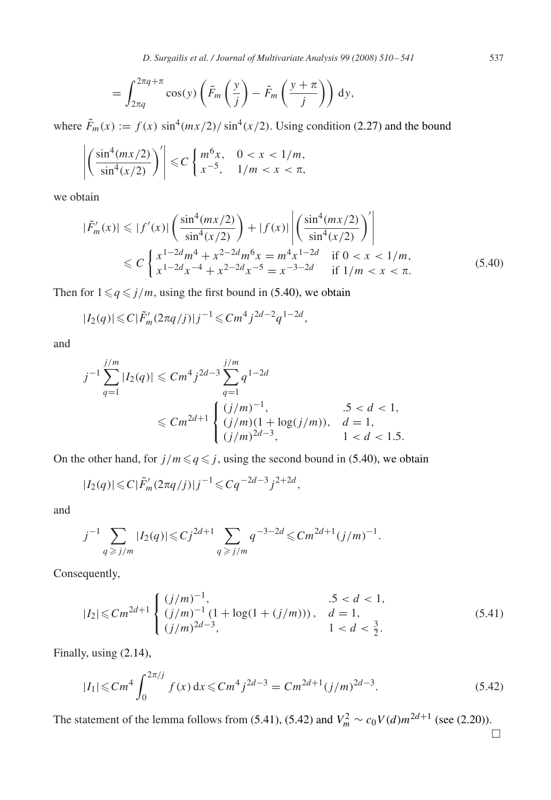*D. Surgailis et al. / Journal of Multivariate Analysis 99 (2008) 510 – 541* 537

$$
= \int_{2\pi q}^{2\pi q + \pi} \cos(y) \left( \tilde{F}_m \left( \frac{y}{j} \right) - \tilde{F}_m \left( \frac{y + \pi}{j} \right) \right) dy,
$$

where  $\tilde{F}_m(x) := f(x) \sin^4(mx/2) / \sin^4(x/2)$ . Using condition [\(2.27\)](#page-8-0) and the bound

$$
\left| \left( \frac{\sin^4(mx/2)}{\sin^4(x/2)} \right)' \right| \leq C \left\{ \begin{array}{ll} m^6x, & 0 < x < 1/m, \\ x^{-5}, & 1/m < x < \pi, \end{array} \right.
$$

we obtain

$$
|\tilde{F}'_m(x)| \le |f'(x)| \left(\frac{\sin^4(mx/2)}{\sin^4(x/2)}\right) + |f(x)| \left|\left(\frac{\sin^4(mx/2)}{\sin^4(x/2)}\right)'\right|
$$
  
\n
$$
\le C \left\{\frac{x^{1-2d}m^4 + x^{2-2d}m^6x = m^4x^{1-2d}}{x^{1-2d}x^{-4} + x^{2-2d}x^{-5} = x^{-3-2d}} \quad \text{if } 0 < x < 1/m,
$$
\n(5.40)

Then for  $1 \leq q \leq j/m$ , using the first bound in [\(5.40\)](#page-26-0), we obtain

$$
|I_2(q)| \leq C |\tilde{F}'_m(2\pi q/j)| j^{-1} \leq C m^4 j^{2d-2} q^{1-2d},
$$

and

$$
j^{-1} \sum_{q=1}^{j/m} |I_2(q)| \leq Cm^4 j^{2d-3} \sum_{q=1}^{j/m} q^{1-2d}
$$
  

$$
\leq Cm^{2d+1} \begin{cases} (j/m)^{-1}, & .5 < d < 1, \\ (j/m)(1 + \log(j/m)), & d = 1, \\ (j/m)^{2d-3}, & 1 < d < 1.5. \end{cases}
$$

On the other hand, for  $j/m \leq q \leq j$ , using the second bound in [\(5.40\)](#page-26-0), we obtain

$$
|I_2(q)| \leq C |\tilde{F}'_m(2\pi q/j)| j^{-1} \leq C q^{-2d-3} j^{2+2d},
$$

and

$$
j^{-1} \sum_{q \ge j/m} |I_2(q)| \le C j^{2d+1} \sum_{q \ge j/m} q^{-3-2d} \le C m^{2d+1} (j/m)^{-1}.
$$

Consequently,

$$
|I_2| \le Cm^{2d+1} \begin{cases} (j/m)^{-1}, & .5 < d < 1, \\ (j/m)^{-1} (1 + \log(1 + (j/m))), & d = 1, \\ (j/m)^{2d-3}, & 1 < d < \frac{3}{2}. \end{cases}
$$
(5.41)

Finally, using [\(2.14\)](#page-6-0),

$$
|I_1| \leq Cm^4 \int_0^{2\pi/j} f(x) dx \leq Cm^4 j^{2d-3} = Cm^{2d+1} (j/m)^{2d-3}.
$$
 (5.42)

The statement of the lemma follows from (5.41), (5.42) and  $V_m^2 \sim c_0 V(d) m^{2d+1}$  (see [\(2.20\)](#page-7-0)).

 $\Box$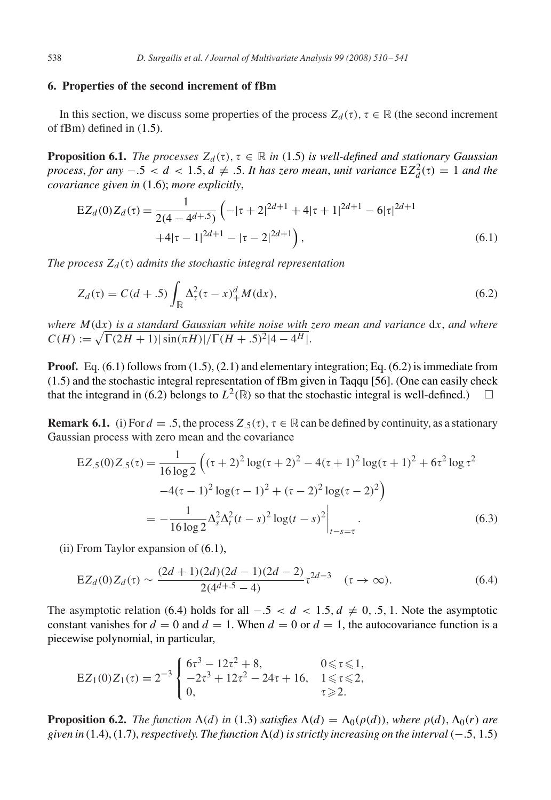# <span id="page-28-0"></span>**6. Properties of the second increment of fBm**

In this section, we discuss some properties of the process  $Z_d(\tau)$ ,  $\tau \in \mathbb{R}$  (the second increment of fBm) defined in [\(1.5\)](#page-1-0).

**Proposition 6.1.** *The processes*  $Z_d(\tau)$ ,  $\tau \in \mathbb{R}$  *in* [\(1.5\)](#page-1-0) *is well-defined and stationary Gaussian process, for any*  $-.5 < d < 1.5$ ,  $d \neq .5$ . It has zero mean, unit variance  $EZ_d^2(\tau) = 1$  and the *covariance given in* [\(1.6\)](#page-1-0); *more explicitly*,

$$
EZ_d(0)Z_d(\tau) = \frac{1}{2(4 - 4d + 5)} \left( -|\tau + 2|^{2d+1} + 4|\tau + 1|^{2d+1} - 6|\tau|^{2d+1} + 4|\tau - 1|^{2d+1} - |\tau - 2|^{2d+1} \right),
$$
\n(6.1)

*The process*  $Z_d(\tau)$  *admits the stochastic integral representation* 

$$
Z_d(\tau) = C(d+.5) \int_{\mathbb{R}} \Delta_\tau^2 (\tau - x)_+^d M(\mathrm{d}x), \tag{6.2}
$$

*where* M(dx) *is a standard Gaussian white noise with zero mean and variance* dx, *and where*  $C(H) := \sqrt{\Gamma(2H+1)} |\sin(\pi H)|/\Gamma(H+.5)^2|4-4^H|.$ 

**Proof.** Eq. (6.1) follows from [\(1.5\)](#page-1-0), [\(2.1\)](#page-4-0) and elementary integration; Eq. (6.2) is immediate from [\(1.5\)](#page-1-0) and the stochastic integral representation of fBm given in Taqqu [\[56\].](#page-31-0) (One can easily check that the integrand in (6.2) belongs to  $L^2(\mathbb{R})$  so that the stochastic integral is well-defined.)  $\Box$ 

**Remark 6.1.** (i) For  $d = 0.5$ , the process  $Z_{0.5}(\tau)$ ,  $\tau \in \mathbb{R}$  can be defined by continuity, as a stationary Gaussian process with zero mean and the covariance

$$
EZ_5(0)Z_5(\tau) = \frac{1}{16 \log 2} \left( (\tau + 2)^2 \log(\tau + 2)^2 - 4(\tau + 1)^2 \log(\tau + 1)^2 + 6\tau^2 \log \tau^2 -4(\tau - 1)^2 \log(\tau - 1)^2 + (\tau - 2)^2 \log(\tau - 2)^2 \right)
$$
  
= 
$$
-\frac{1}{16 \log 2} \Delta_s^2 \Delta_t^2 (t - s)^2 \log(t - s)^2 \Big|_{t-s=\tau}.
$$
 (6.3)

(ii) From Taylor expansion of (6.1),

$$
EZ_d(0)Z_d(\tau) \sim \frac{(2d+1)(2d)(2d-1)(2d-2)}{2(4^{d+5}-4)}\tau^{2d-3} \quad (\tau \to \infty).
$$
 (6.4)

The asymptotic relation (6.4) holds for all  $-.5 < d < 1.5, d \neq 0, .5, 1$ . Note the asymptotic constant vanishes for  $d = 0$  and  $d = 1$ . When  $d = 0$  or  $d = 1$ , the autocovariance function is a piecewise polynomial, in particular,

$$
EZ_1(0)Z_1(\tau) = 2^{-3} \begin{cases} 6\tau^3 - 12\tau^2 + 8, & 0 \le \tau \le 1, \\ -2\tau^3 + 12\tau^2 - 24\tau + 16, & 1 \le \tau \le 2, \\ 0, & \tau \ge 2. \end{cases}
$$

**Proposition 6.2.** *The function*  $\Lambda(d)$  *in* [\(1.3\)](#page-1-0) *satisfies*  $\Lambda(d) = \Lambda_0(\rho(d))$ *, where*  $\rho(d)$ *,*  $\Lambda_0(r)$  *are given in* [\(1.4\)](#page-1-0), [\(1.7\)](#page-2-0), *respectively. The function*  $Λ$ (*d*) *is strictly increasing on the interval* (−.5, 1.5)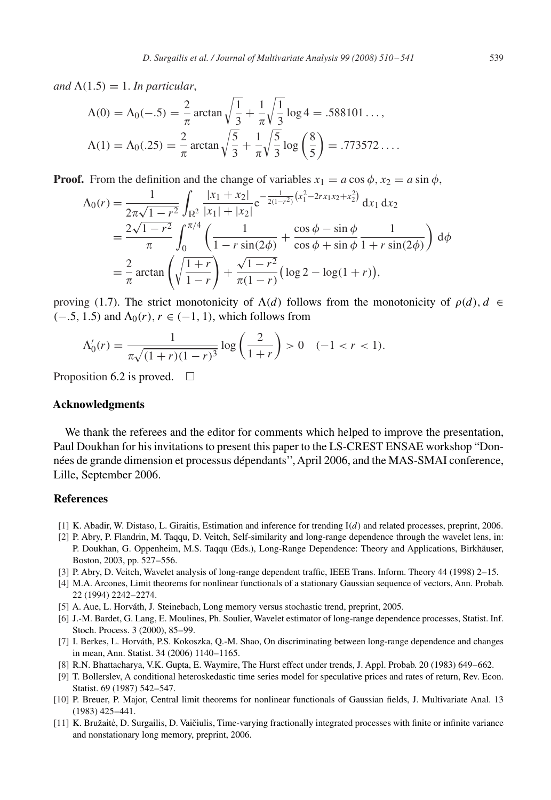<span id="page-29-0"></span>and  $\Lambda(1.5) = 1$ . *In particular*,

$$
\Lambda(0) = \Lambda_0(-.5) = \frac{2}{\pi} \arctan \sqrt{\frac{1}{3}} + \frac{1}{\pi} \sqrt{\frac{1}{3}} \log 4 = .588101...,
$$
  

$$
\Lambda(1) = \Lambda_0(.25) = \frac{2}{\pi} \arctan \sqrt{\frac{5}{3}} + \frac{1}{\pi} \sqrt{\frac{5}{3}} \log \left(\frac{8}{5}\right) = .773572...
$$

**Proof.** From the definition and the change of variables  $x_1 = a \cos \phi$ ,  $x_2 = a \sin \phi$ ,

$$
\begin{split} \Lambda_{0}(r) &= \frac{1}{2\pi\sqrt{1-r^{2}}} \int_{\mathbb{R}^{2}} \frac{|x_{1}+x_{2}|}{|x_{1}|+|x_{2}|} e^{-\frac{1}{2(1-r^{2})}(x_{1}^{2}-2rx_{1}x_{2}+x_{2}^{2})} \, \mathrm{d}x_{1} \, \mathrm{d}x_{2} \\ &= \frac{2\sqrt{1-r^{2}}}{\pi} \int_{0}^{\pi/4} \left( \frac{1}{1-r\sin(2\phi)} + \frac{\cos\phi-\sin\phi}{\cos\phi+\sin\phi} \frac{1}{1+r\sin(2\phi)} \right) \, \mathrm{d}\phi \\ &= \frac{2}{\pi} \arctan\left(\sqrt{\frac{1+r}{1-r}}\right) + \frac{\sqrt{1-r^{2}}}{\pi(1-r)} \left(\log 2 - \log(1+r)\right), \end{split}
$$

proving [\(1.7\)](#page-2-0). The strict monotonicity of  $\Lambda(d)$  follows from the monotonicity of  $\rho(d)$ ,  $d \in$  $(-.5, 1.5)$  and  $\Lambda_0(r)$ ,  $r \in (-1, 1)$ , which follows from

$$
\Lambda_0'(r) = \frac{1}{\pi \sqrt{(1+r)(1-r)^3}} \log \left(\frac{2}{1+r}\right) > 0 \quad (-1 < r < 1).
$$

Proposition [6.2](#page-28-0) is proved.  $\Box$ 

#### **Acknowledgments**

We thank the referees and the editor for comments which helped to improve the presentation, Paul Doukhan for his invitations to present this paper to the LS-CREST ENSAE workshop "Données de grande dimension et processus dépendants'', April 2006, and the MAS-SMAI conference, Lille, September 2006.

# **References**

- [1] K. Abadir, W. Distaso, L. Giraitis, Estimation and inference for trending  $I(d)$  and related processes, preprint, 2006.
- [2] P. Abry, P. Flandrin, M. Taqqu, D. Veitch, Self-similarity and long-range dependence through the wavelet lens, in: P. Doukhan, G. Oppenheim, M.S. Taqqu (Eds.), Long-Range Dependence: Theory and Applications, Birkhäuser, Boston, 2003, pp. 527–556.
- [3] P. Abry, D. Veitch, Wavelet analysis of long-range dependent traffic, IEEE Trans. Inform. Theory 44 (1998) 2–15.
- [4] M.A. Arcones, Limit theorems for nonlinear functionals of a stationary Gaussian sequence of vectors, Ann. Probab. 22 (1994) 2242–2274.
- [5] A. Aue, L. Horváth, J. Steinebach, Long memory versus stochastic trend, preprint, 2005.
- [6] J.-M. Bardet, G. Lang, E. Moulines, Ph. Soulier, Wavelet estimator of long-range dependence processes, Statist. Inf. Stoch. Process. 3 (2000), 85–99.
- [7] I. Berkes, L. Horváth, P.S. Kokoszka, Q.-M. Shao, On discriminating between long-range dependence and changes in mean, Ann. Statist. 34 (2006) 1140–1165.
- [8] R.N. Bhattacharya, V.K. Gupta, E. Waymire, The Hurst effect under trends, J. Appl. Probab. 20 (1983) 649–662.
- [9] T. Bollerslev, A conditional heteroskedastic time series model for speculative prices and rates of return, Rev. Econ. Statist. 69 (1987) 542–547.
- [10] P. Breuer, P. Major, Central limit theorems for nonlinear functionals of Gaussian fields, J. Multivariate Anal. 13 (1983) 425–441.
- [11] K. Bružaitė, D. Surgailis, D. Vaičiulis, Time-varying fractionally integrated processes with finite or infinite variance and nonstationary long memory, preprint, 2006.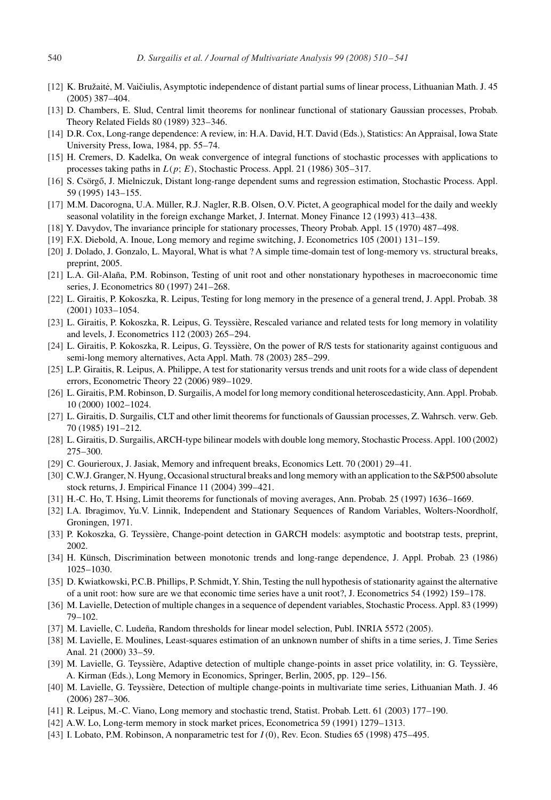- <span id="page-30-0"></span>[12] K. Bružaitė, M. Vaičiulis, Asymptotic independence of distant partial sums of linear process, Lithuanian Math. J. 45 (2005) 387–404.
- [13] D. Chambers, E. Slud, Central limit theorems for nonlinear functional of stationary Gaussian processes, Probab. Theory Related Fields 80 (1989) 323–346.
- [14] D.R. Cox, Long-range dependence: A review, in: H.A. David, H.T. David (Eds.), Statistics: An Appraisal, Iowa State University Press, Iowa, 1984, pp. 55–74.
- [15] H. Cremers, D. Kadelka, On weak convergence of integral functions of stochastic processes with applications to processes taking paths in  $L(p; E)$ , Stochastic Process. Appl. 21 (1986) 305–317.
- [16] S. Csörgő, J. Mielniczuk, Distant long-range dependent sums and regression estimation, Stochastic Process. Appl. 59 (1995) 143–155.
- [17] M.M. Dacorogna, U.A. Müller, R.J. Nagler, R.B. Olsen, O.V. Pictet, A geographical model for the daily and weekly seasonal volatility in the foreign exchange Market, J. Internat. Money Finance 12 (1993) 413–438.
- [18] Y. Davydov, The invariance principle for stationary processes, Theory Probab. Appl. 15 (1970) 487–498.
- [19] F.X. Diebold, A. Inoue, Long memory and regime switching, J. Econometrics 105 (2001) 131–159.
- [20] J. Dolado, J. Gonzalo, L. Mayoral, What is what ? A simple time-domain test of long-memory vs. structural breaks, preprint, 2005.
- [21] L.A. Gil-Alaña, P.M. Robinson, Testing of unit root and other nonstationary hypotheses in macroeconomic time series, J. Econometrics 80 (1997) 241–268.
- [22] L. Giraitis, P. Kokoszka, R. Leipus, Testing for long memory in the presence of a general trend, J. Appl. Probab. 38 (2001) 1033–1054.
- [23] L. Giraitis, P. Kokoszka, R. Leipus, G. Teyssière, Rescaled variance and related tests for long memory in volatility and levels, J. Econometrics 112 (2003) 265–294.
- [24] L. Giraitis, P. Kokoszka, R. Leipus, G. Teyssière, On the power of R/S tests for stationarity against contiguous and semi-long memory alternatives, Acta Appl. Math. 78 (2003) 285–299.
- [25] L.P. Giraitis, R. Leipus, A. Philippe, A test for stationarity versus trends and unit roots for a wide class of dependent errors, Econometric Theory 22 (2006) 989–1029.
- [26] L. Giraitis, P.M. Robinson, D. Surgailis, A model for long memory conditional heteroscedasticity, Ann. Appl. Probab. 10 (2000) 1002–1024.
- [27] L. Giraitis, D. Surgailis, CLT and other limit theorems for functionals of Gaussian processes, Z. Wahrsch. verw. Geb. 70 (1985) 191–212.
- [28] L. Giraitis, D. Surgailis, ARCH-type bilinear models with double long memory, Stochastic Process. Appl. 100 (2002) 275–300.
- [29] C. Gourieroux, J. Jasiak, Memory and infrequent breaks, Economics Lett. 70 (2001) 29–41.
- [30] C.W.J. Granger, N. Hyung, Occasional structural breaks and long memory with an application to the S&P500 absolute stock returns, J. Empirical Finance 11 (2004) 399–421.
- [31] H.-C. Ho, T. Hsing, Limit theorems for functionals of moving averages, Ann. Probab. 25 (1997) 1636–1669.
- [32] I.A. Ibragimov, Yu.V. Linnik, Independent and Stationary Sequences of Random Variables, Wolters-Noordholf, Groningen, 1971.
- [33] P. Kokoszka, G. Teyssière, Change-point detection in GARCH models: asymptotic and bootstrap tests, preprint, 2002.
- [34] H. Künsch, Discrimination between monotonic trends and long-range dependence, J. Appl. Probab. 23 (1986) 1025–1030.
- [35] D. Kwiatkowski, P.C.B. Phillips, P. Schmidt,Y. Shin, Testing the null hypothesis of stationarity against the alternative of a unit root: how sure are we that economic time series have a unit root?, J. Econometrics 54 (1992) 159–178.
- [36] M. Lavielle, Detection of multiple changes in a sequence of dependent variables, Stochastic Process. Appl. 83 (1999) 79–102.
- [37] M. Lavielle, C. Ludeña, Random thresholds for linear model selection, Publ. INRIA 5572 (2005).
- [38] M. Lavielle, E. Moulines, Least-squares estimation of an unknown number of shifts in a time series, J. Time Series Anal. 21 (2000) 33–59.
- [39] M. Lavielle, G. Teyssière, Adaptive detection of multiple change-points in asset price volatility, in: G. Teyssière, A. Kirman (Eds.), Long Memory in Economics, Springer, Berlin, 2005, pp. 129–156.
- [40] M. Lavielle, G. Teyssière, Detection of multiple change-points in multivariate time series, Lithuanian Math. J. 46 (2006) 287–306.
- [41] R. Leipus, M.-C. Viano, Long memory and stochastic trend, Statist. Probab. Lett. 61 (2003) 177–190.
- [42] A.W. Lo, Long-term memory in stock market prices, Econometrica 59 (1991) 1279–1313.
- [43] I. Lobato, P.M. Robinson, A nonparametric test for I (0), Rev. Econ. Studies 65 (1998) 475–495.